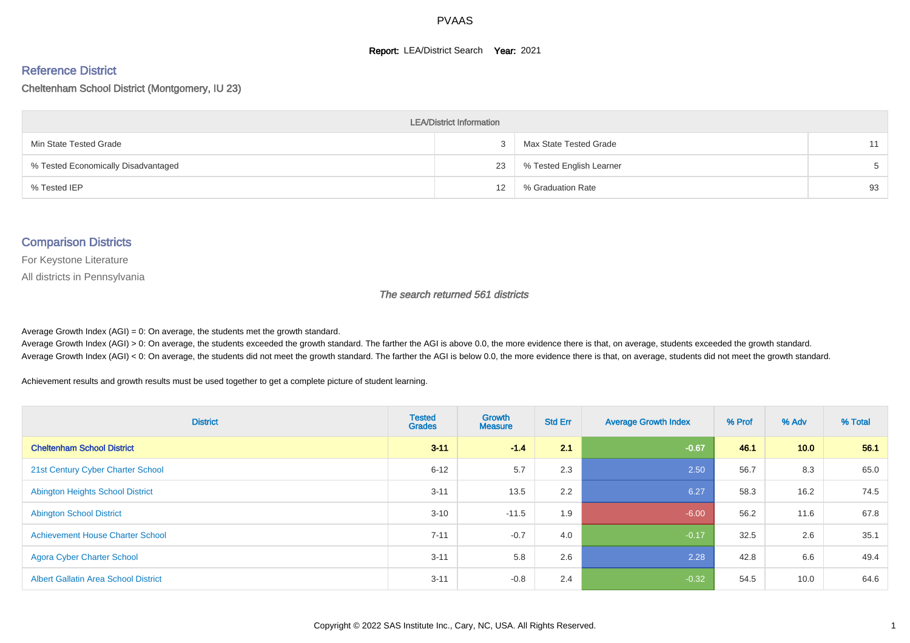#### **Report: LEA/District Search Year: 2021**

#### Reference District

Cheltenham School District (Montgomery, IU 23)

| <b>LEA/District Information</b>     |    |                          |       |  |  |  |  |  |  |
|-------------------------------------|----|--------------------------|-------|--|--|--|--|--|--|
| Min State Tested Grade              |    | Max State Tested Grade   | 11    |  |  |  |  |  |  |
| % Tested Economically Disadvantaged | 23 | % Tested English Learner | $5 -$ |  |  |  |  |  |  |
| % Tested IEP                        | 12 | % Graduation Rate        | 93    |  |  |  |  |  |  |

#### Comparison Districts

For Keystone Literature

All districts in Pennsylvania

The search returned 561 districts

Average Growth Index  $(AGI) = 0$ : On average, the students met the growth standard.

Average Growth Index (AGI) > 0: On average, the students exceeded the growth standard. The farther the AGI is above 0.0, the more evidence there is that, on average, students exceeded the growth standard. Average Growth Index (AGI) < 0: On average, the students did not meet the growth standard. The farther the AGI is below 0.0, the more evidence there is that, on average, students did not meet the growth standard.

Achievement results and growth results must be used together to get a complete picture of student learning.

| <b>District</b>                             | <b>Tested</b><br><b>Grades</b> | <b>Growth</b><br><b>Measure</b> | <b>Std Err</b> | <b>Average Growth Index</b> | % Prof | % Adv | % Total |
|---------------------------------------------|--------------------------------|---------------------------------|----------------|-----------------------------|--------|-------|---------|
| <b>Cheltenham School District</b>           | $3 - 11$                       | $-1.4$                          | 2.1            | $-0.67$                     | 46.1   | 10.0  | 56.1    |
| 21st Century Cyber Charter School           | $6 - 12$                       | 5.7                             | 2.3            | 2.50                        | 56.7   | 8.3   | 65.0    |
| <b>Abington Heights School District</b>     | $3 - 11$                       | 13.5                            | 2.2            | 6.27                        | 58.3   | 16.2  | 74.5    |
| <b>Abington School District</b>             | $3 - 10$                       | $-11.5$                         | 1.9            | $-6.00$                     | 56.2   | 11.6  | 67.8    |
| <b>Achievement House Charter School</b>     | $7 - 11$                       | $-0.7$                          | 4.0            | $-0.17$                     | 32.5   | 2.6   | 35.1    |
| <b>Agora Cyber Charter School</b>           | $3 - 11$                       | 5.8                             | 2.6            | 2.28                        | 42.8   | 6.6   | 49.4    |
| <b>Albert Gallatin Area School District</b> | $3 - 11$                       | $-0.8$                          | 2.4            | $-0.32$                     | 54.5   | 10.0  | 64.6    |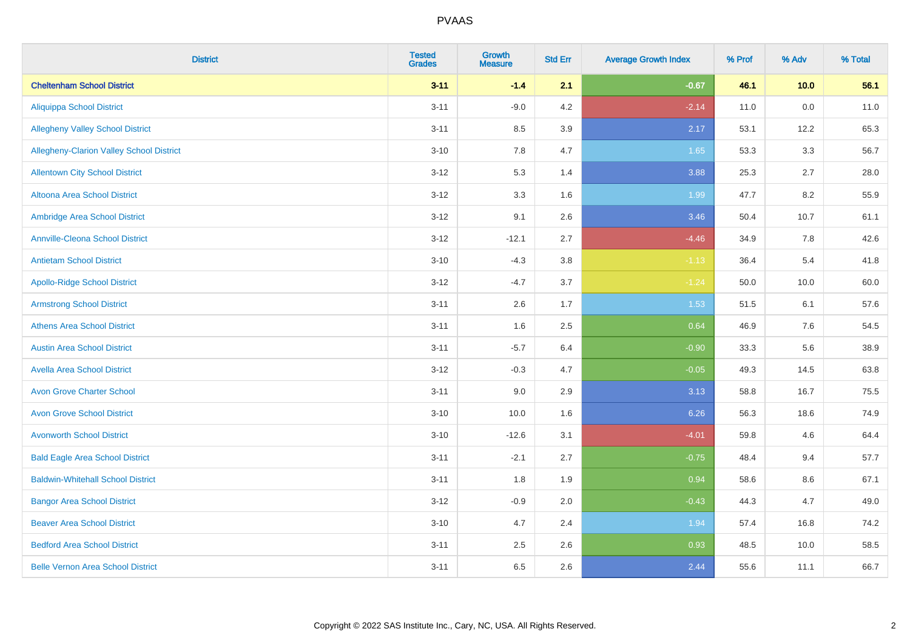| <b>District</b>                          | <b>Tested</b><br><b>Grades</b> | <b>Growth</b><br><b>Measure</b> | <b>Std Err</b> | <b>Average Growth Index</b> | % Prof | % Adv | % Total |
|------------------------------------------|--------------------------------|---------------------------------|----------------|-----------------------------|--------|-------|---------|
| <b>Cheltenham School District</b>        | $3 - 11$                       | $-1.4$                          | 2.1            | $-0.67$                     | 46.1   | 10.0  | 56.1    |
| <b>Aliquippa School District</b>         | $3 - 11$                       | $-9.0$                          | 4.2            | $-2.14$                     | 11.0   | 0.0   | 11.0    |
| <b>Allegheny Valley School District</b>  | $3 - 11$                       | 8.5                             | 3.9            | 2.17                        | 53.1   | 12.2  | 65.3    |
| Allegheny-Clarion Valley School District | $3 - 10$                       | 7.8                             | 4.7            | 1.65                        | 53.3   | 3.3   | 56.7    |
| <b>Allentown City School District</b>    | $3 - 12$                       | 5.3                             | 1.4            | 3.88                        | 25.3   | 2.7   | 28.0    |
| <b>Altoona Area School District</b>      | $3 - 12$                       | 3.3                             | 1.6            | 1.99                        | 47.7   | 8.2   | 55.9    |
| Ambridge Area School District            | $3 - 12$                       | 9.1                             | 2.6            | 3.46                        | 50.4   | 10.7  | 61.1    |
| <b>Annville-Cleona School District</b>   | $3 - 12$                       | $-12.1$                         | 2.7            | $-4.46$                     | 34.9   | 7.8   | 42.6    |
| <b>Antietam School District</b>          | $3 - 10$                       | $-4.3$                          | 3.8            | $-1.13$                     | 36.4   | 5.4   | 41.8    |
| <b>Apollo-Ridge School District</b>      | $3 - 12$                       | $-4.7$                          | 3.7            | $-1.24$                     | 50.0   | 10.0  | 60.0    |
| <b>Armstrong School District</b>         | $3 - 11$                       | 2.6                             | 1.7            | 1.53                        | 51.5   | 6.1   | 57.6    |
| <b>Athens Area School District</b>       | $3 - 11$                       | 1.6                             | 2.5            | 0.64                        | 46.9   | 7.6   | 54.5    |
| <b>Austin Area School District</b>       | $3 - 11$                       | $-5.7$                          | 6.4            | $-0.90$                     | 33.3   | 5.6   | 38.9    |
| <b>Avella Area School District</b>       | $3 - 12$                       | $-0.3$                          | 4.7            | $-0.05$                     | 49.3   | 14.5  | 63.8    |
| <b>Avon Grove Charter School</b>         | $3 - 11$                       | 9.0                             | 2.9            | 3.13                        | 58.8   | 16.7  | 75.5    |
| <b>Avon Grove School District</b>        | $3 - 10$                       | 10.0                            | 1.6            | 6.26                        | 56.3   | 18.6  | 74.9    |
| <b>Avonworth School District</b>         | $3 - 10$                       | $-12.6$                         | 3.1            | $-4.01$                     | 59.8   | 4.6   | 64.4    |
| <b>Bald Eagle Area School District</b>   | $3 - 11$                       | $-2.1$                          | 2.7            | $-0.75$                     | 48.4   | 9.4   | 57.7    |
| <b>Baldwin-Whitehall School District</b> | $3 - 11$                       | 1.8                             | 1.9            | 0.94                        | 58.6   | 8.6   | 67.1    |
| <b>Bangor Area School District</b>       | $3 - 12$                       | $-0.9$                          | 2.0            | $-0.43$                     | 44.3   | 4.7   | 49.0    |
| <b>Beaver Area School District</b>       | $3 - 10$                       | 4.7                             | 2.4            | 1.94                        | 57.4   | 16.8  | 74.2    |
| <b>Bedford Area School District</b>      | $3 - 11$                       | 2.5                             | 2.6            | 0.93                        | 48.5   | 10.0  | 58.5    |
| <b>Belle Vernon Area School District</b> | $3 - 11$                       | 6.5                             | 2.6            | 2.44                        | 55.6   | 11.1  | 66.7    |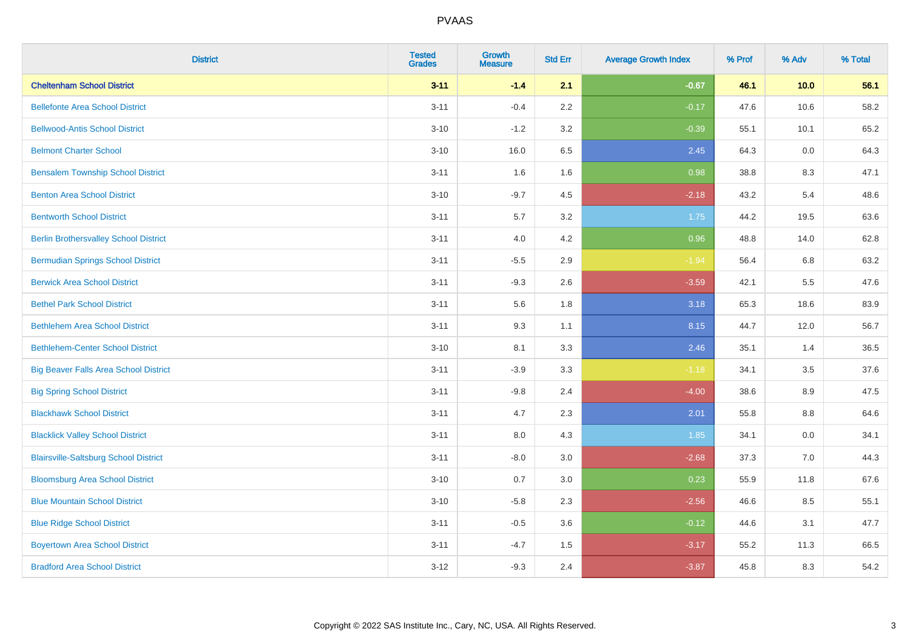| <b>District</b>                              | <b>Tested</b><br><b>Grades</b> | <b>Growth</b><br><b>Measure</b> | <b>Std Err</b> | <b>Average Growth Index</b> | % Prof | % Adv | % Total |
|----------------------------------------------|--------------------------------|---------------------------------|----------------|-----------------------------|--------|-------|---------|
| <b>Cheltenham School District</b>            | $3 - 11$                       | $-1.4$                          | 2.1            | $-0.67$                     | 46.1   | 10.0  | 56.1    |
| <b>Bellefonte Area School District</b>       | $3 - 11$                       | $-0.4$                          | 2.2            | $-0.17$                     | 47.6   | 10.6  | 58.2    |
| <b>Bellwood-Antis School District</b>        | $3 - 10$                       | $-1.2$                          | 3.2            | $-0.39$                     | 55.1   | 10.1  | 65.2    |
| <b>Belmont Charter School</b>                | $3 - 10$                       | 16.0                            | 6.5            | 2.45                        | 64.3   | 0.0   | 64.3    |
| <b>Bensalem Township School District</b>     | $3 - 11$                       | 1.6                             | 1.6            | 0.98                        | 38.8   | 8.3   | 47.1    |
| <b>Benton Area School District</b>           | $3 - 10$                       | $-9.7$                          | 4.5            | $-2.18$                     | 43.2   | 5.4   | 48.6    |
| <b>Bentworth School District</b>             | $3 - 11$                       | 5.7                             | 3.2            | 1.75                        | 44.2   | 19.5  | 63.6    |
| <b>Berlin Brothersvalley School District</b> | $3 - 11$                       | 4.0                             | 4.2            | 0.96                        | 48.8   | 14.0  | 62.8    |
| <b>Bermudian Springs School District</b>     | $3 - 11$                       | $-5.5$                          | 2.9            | $-1.94$                     | 56.4   | 6.8   | 63.2    |
| <b>Berwick Area School District</b>          | $3 - 11$                       | $-9.3$                          | 2.6            | $-3.59$                     | 42.1   | 5.5   | 47.6    |
| <b>Bethel Park School District</b>           | $3 - 11$                       | 5.6                             | 1.8            | 3.18                        | 65.3   | 18.6  | 83.9    |
| <b>Bethlehem Area School District</b>        | $3 - 11$                       | 9.3                             | 1.1            | 8.15                        | 44.7   | 12.0  | 56.7    |
| <b>Bethlehem-Center School District</b>      | $3 - 10$                       | 8.1                             | 3.3            | 2.46                        | 35.1   | 1.4   | 36.5    |
| <b>Big Beaver Falls Area School District</b> | $3 - 11$                       | $-3.9$                          | 3.3            | $-1.18$                     | 34.1   | 3.5   | 37.6    |
| <b>Big Spring School District</b>            | $3 - 11$                       | $-9.8$                          | 2.4            | $-4.00$                     | 38.6   | 8.9   | 47.5    |
| <b>Blackhawk School District</b>             | $3 - 11$                       | 4.7                             | 2.3            | 2.01                        | 55.8   | 8.8   | 64.6    |
| <b>Blacklick Valley School District</b>      | $3 - 11$                       | 8.0                             | 4.3            | 1.85                        | 34.1   | 0.0   | 34.1    |
| <b>Blairsville-Saltsburg School District</b> | $3 - 11$                       | $-8.0$                          | 3.0            | $-2.68$                     | 37.3   | 7.0   | 44.3    |
| <b>Bloomsburg Area School District</b>       | $3 - 10$                       | 0.7                             | 3.0            | 0.23                        | 55.9   | 11.8  | 67.6    |
| <b>Blue Mountain School District</b>         | $3 - 10$                       | $-5.8$                          | 2.3            | $-2.56$                     | 46.6   | 8.5   | 55.1    |
| <b>Blue Ridge School District</b>            | $3 - 11$                       | $-0.5$                          | 3.6            | $-0.12$                     | 44.6   | 3.1   | 47.7    |
| <b>Boyertown Area School District</b>        | $3 - 11$                       | $-4.7$                          | 1.5            | $-3.17$                     | 55.2   | 11.3  | 66.5    |
| <b>Bradford Area School District</b>         | $3-12$                         | $-9.3$                          | 2.4            | $-3.87$                     | 45.8   | 8.3   | 54.2    |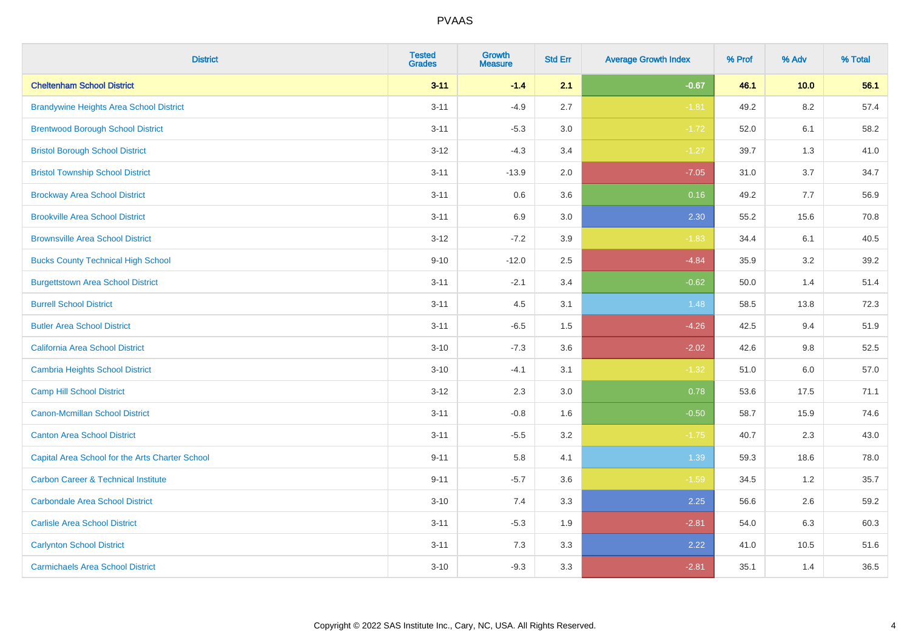| <b>District</b>                                 | <b>Tested</b><br><b>Grades</b> | Growth<br><b>Measure</b> | <b>Std Err</b> | <b>Average Growth Index</b> | % Prof | % Adv   | % Total |
|-------------------------------------------------|--------------------------------|--------------------------|----------------|-----------------------------|--------|---------|---------|
| <b>Cheltenham School District</b>               | $3 - 11$                       | $-1.4$                   | 2.1            | $-0.67$                     | 46.1   | 10.0    | 56.1    |
| <b>Brandywine Heights Area School District</b>  | $3 - 11$                       | $-4.9$                   | 2.7            | $-1.81$                     | 49.2   | 8.2     | 57.4    |
| <b>Brentwood Borough School District</b>        | $3 - 11$                       | $-5.3$                   | 3.0            | $-1.72$                     | 52.0   | 6.1     | 58.2    |
| <b>Bristol Borough School District</b>          | $3 - 12$                       | $-4.3$                   | 3.4            | $-1.27$                     | 39.7   | 1.3     | 41.0    |
| <b>Bristol Township School District</b>         | $3 - 11$                       | $-13.9$                  | 2.0            | $-7.05$                     | 31.0   | 3.7     | 34.7    |
| <b>Brockway Area School District</b>            | $3 - 11$                       | 0.6                      | 3.6            | 0.16                        | 49.2   | 7.7     | 56.9    |
| <b>Brookville Area School District</b>          | $3 - 11$                       | 6.9                      | 3.0            | 2.30                        | 55.2   | 15.6    | 70.8    |
| <b>Brownsville Area School District</b>         | $3 - 12$                       | $-7.2$                   | 3.9            | $-1.83$                     | 34.4   | 6.1     | 40.5    |
| <b>Bucks County Technical High School</b>       | $9 - 10$                       | $-12.0$                  | 2.5            | $-4.84$                     | 35.9   | 3.2     | 39.2    |
| <b>Burgettstown Area School District</b>        | $3 - 11$                       | $-2.1$                   | 3.4            | $-0.62$                     | 50.0   | 1.4     | 51.4    |
| <b>Burrell School District</b>                  | $3 - 11$                       | 4.5                      | 3.1            | 1.48                        | 58.5   | 13.8    | 72.3    |
| <b>Butler Area School District</b>              | $3 - 11$                       | $-6.5$                   | 1.5            | $-4.26$                     | 42.5   | 9.4     | 51.9    |
| California Area School District                 | $3 - 10$                       | $-7.3$                   | 3.6            | $-2.02$                     | 42.6   | 9.8     | 52.5    |
| Cambria Heights School District                 | $3 - 10$                       | $-4.1$                   | 3.1            | $-1.32$                     | 51.0   | $6.0\,$ | 57.0    |
| <b>Camp Hill School District</b>                | $3 - 12$                       | 2.3                      | 3.0            | 0.78                        | 53.6   | 17.5    | 71.1    |
| Canon-Mcmillan School District                  | $3 - 11$                       | $-0.8$                   | 1.6            | $-0.50$                     | 58.7   | 15.9    | 74.6    |
| <b>Canton Area School District</b>              | $3 - 11$                       | $-5.5$                   | 3.2            | $-1.75$                     | 40.7   | 2.3     | 43.0    |
| Capital Area School for the Arts Charter School | $9 - 11$                       | 5.8                      | 4.1            | 1.39                        | 59.3   | 18.6    | 78.0    |
| <b>Carbon Career &amp; Technical Institute</b>  | $9 - 11$                       | $-5.7$                   | 3.6            | $-1.59$                     | 34.5   | 1.2     | 35.7    |
| <b>Carbondale Area School District</b>          | $3 - 10$                       | 7.4                      | 3.3            | 2.25                        | 56.6   | 2.6     | 59.2    |
| <b>Carlisle Area School District</b>            | $3 - 11$                       | $-5.3$                   | 1.9            | $-2.81$                     | 54.0   | 6.3     | 60.3    |
| <b>Carlynton School District</b>                | $3 - 11$                       | 7.3                      | 3.3            | 2.22                        | 41.0   | 10.5    | 51.6    |
| <b>Carmichaels Area School District</b>         | $3 - 10$                       | $-9.3$                   | 3.3            | $-2.81$                     | 35.1   | 1.4     | 36.5    |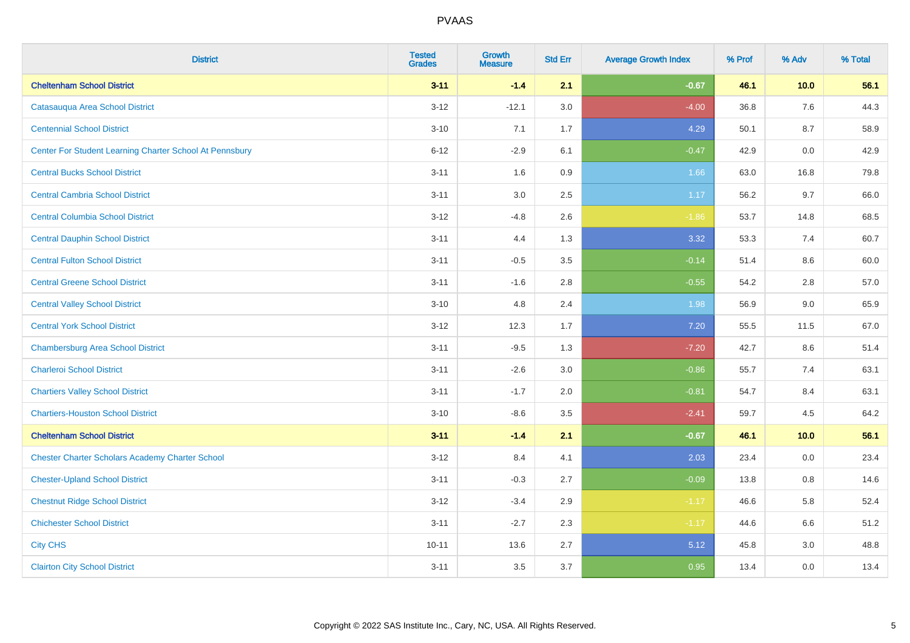| <b>District</b>                                         | <b>Tested</b><br><b>Grades</b> | <b>Growth</b><br><b>Measure</b> | <b>Std Err</b> | <b>Average Growth Index</b> | % Prof | % Adv | % Total |
|---------------------------------------------------------|--------------------------------|---------------------------------|----------------|-----------------------------|--------|-------|---------|
| <b>Cheltenham School District</b>                       | $3 - 11$                       | $-1.4$                          | 2.1            | $-0.67$                     | 46.1   | 10.0  | 56.1    |
| Catasauqua Area School District                         | $3 - 12$                       | $-12.1$                         | 3.0            | $-4.00$                     | 36.8   | 7.6   | 44.3    |
| <b>Centennial School District</b>                       | $3 - 10$                       | 7.1                             | 1.7            | 4.29                        | 50.1   | 8.7   | 58.9    |
| Center For Student Learning Charter School At Pennsbury | $6 - 12$                       | $-2.9$                          | 6.1            | $-0.47$                     | 42.9   | 0.0   | 42.9    |
| <b>Central Bucks School District</b>                    | $3 - 11$                       | 1.6                             | 0.9            | 1.66                        | 63.0   | 16.8  | 79.8    |
| <b>Central Cambria School District</b>                  | $3 - 11$                       | 3.0                             | 2.5            | 1.17                        | 56.2   | 9.7   | 66.0    |
| <b>Central Columbia School District</b>                 | $3-12$                         | $-4.8$                          | 2.6            | $-1.86$                     | 53.7   | 14.8  | 68.5    |
| <b>Central Dauphin School District</b>                  | $3 - 11$                       | 4.4                             | 1.3            | 3.32                        | 53.3   | 7.4   | 60.7    |
| <b>Central Fulton School District</b>                   | $3 - 11$                       | $-0.5$                          | 3.5            | $-0.14$                     | 51.4   | 8.6   | 60.0    |
| <b>Central Greene School District</b>                   | $3 - 11$                       | $-1.6$                          | 2.8            | $-0.55$                     | 54.2   | 2.8   | 57.0    |
| <b>Central Valley School District</b>                   | $3 - 10$                       | 4.8                             | 2.4            | 1.98                        | 56.9   | 9.0   | 65.9    |
| <b>Central York School District</b>                     | $3 - 12$                       | 12.3                            | 1.7            | 7.20                        | 55.5   | 11.5  | 67.0    |
| <b>Chambersburg Area School District</b>                | $3 - 11$                       | $-9.5$                          | 1.3            | $-7.20$                     | 42.7   | 8.6   | 51.4    |
| <b>Charleroi School District</b>                        | $3 - 11$                       | $-2.6$                          | 3.0            | $-0.86$                     | 55.7   | 7.4   | 63.1    |
| <b>Chartiers Valley School District</b>                 | $3 - 11$                       | $-1.7$                          | 2.0            | $-0.81$                     | 54.7   | 8.4   | 63.1    |
| <b>Chartiers-Houston School District</b>                | $3 - 10$                       | $-8.6$                          | 3.5            | $-2.41$                     | 59.7   | 4.5   | 64.2    |
| <b>Cheltenham School District</b>                       | $3 - 11$                       | $-1.4$                          | 2.1            | $-0.67$                     | 46.1   | 10.0  | 56.1    |
| <b>Chester Charter Scholars Academy Charter School</b>  | $3 - 12$                       | 8.4                             | 4.1            | 2.03                        | 23.4   | 0.0   | 23.4    |
| <b>Chester-Upland School District</b>                   | $3 - 11$                       | $-0.3$                          | 2.7            | $-0.09$                     | 13.8   | 0.8   | 14.6    |
| <b>Chestnut Ridge School District</b>                   | $3 - 12$                       | $-3.4$                          | 2.9            | $-1.17$                     | 46.6   | 5.8   | 52.4    |
| <b>Chichester School District</b>                       | $3 - 11$                       | $-2.7$                          | 2.3            | $-1.17$                     | 44.6   | 6.6   | 51.2    |
| <b>City CHS</b>                                         | $10 - 11$                      | 13.6                            | 2.7            | 5.12                        | 45.8   | 3.0   | 48.8    |
| <b>Clairton City School District</b>                    | $3 - 11$                       | 3.5                             | 3.7            | 0.95                        | 13.4   | 0.0   | 13.4    |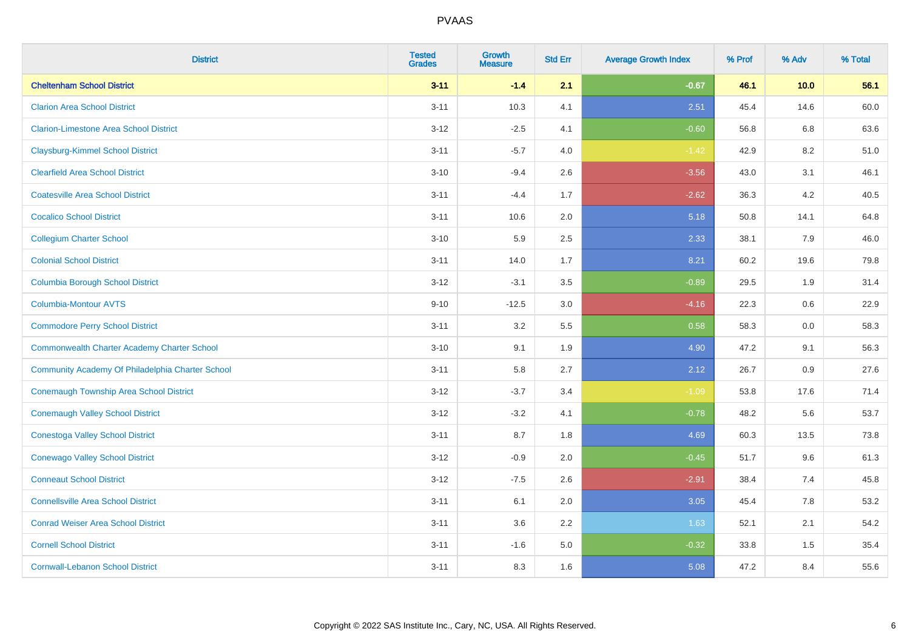| <b>District</b>                                    | <b>Tested</b><br><b>Grades</b> | <b>Growth</b><br><b>Measure</b> | <b>Std Err</b> | <b>Average Growth Index</b> | % Prof | % Adv | % Total |
|----------------------------------------------------|--------------------------------|---------------------------------|----------------|-----------------------------|--------|-------|---------|
| <b>Cheltenham School District</b>                  | $3 - 11$                       | $-1.4$                          | 2.1            | $-0.67$                     | 46.1   | 10.0  | 56.1    |
| <b>Clarion Area School District</b>                | $3 - 11$                       | 10.3                            | 4.1            | 2.51                        | 45.4   | 14.6  | 60.0    |
| <b>Clarion-Limestone Area School District</b>      | $3-12$                         | $-2.5$                          | 4.1            | $-0.60$                     | 56.8   | 6.8   | 63.6    |
| <b>Claysburg-Kimmel School District</b>            | $3 - 11$                       | $-5.7$                          | 4.0            | $-1.42$                     | 42.9   | 8.2   | 51.0    |
| <b>Clearfield Area School District</b>             | $3 - 10$                       | $-9.4$                          | 2.6            | $-3.56$                     | 43.0   | 3.1   | 46.1    |
| <b>Coatesville Area School District</b>            | $3 - 11$                       | $-4.4$                          | 1.7            | $-2.62$                     | 36.3   | 4.2   | 40.5    |
| <b>Cocalico School District</b>                    | $3 - 11$                       | 10.6                            | 2.0            | 5.18                        | 50.8   | 14.1  | 64.8    |
| <b>Collegium Charter School</b>                    | $3 - 10$                       | 5.9                             | 2.5            | 2.33                        | 38.1   | 7.9   | 46.0    |
| <b>Colonial School District</b>                    | $3 - 11$                       | 14.0                            | 1.7            | 8.21                        | 60.2   | 19.6  | 79.8    |
| <b>Columbia Borough School District</b>            | $3-12$                         | $-3.1$                          | 3.5            | $-0.89$                     | 29.5   | 1.9   | 31.4    |
| Columbia-Montour AVTS                              | $9 - 10$                       | $-12.5$                         | 3.0            | $-4.16$                     | 22.3   | 0.6   | 22.9    |
| <b>Commodore Perry School District</b>             | $3 - 11$                       | 3.2                             | 5.5            | 0.58                        | 58.3   | 0.0   | 58.3    |
| <b>Commonwealth Charter Academy Charter School</b> | $3 - 10$                       | 9.1                             | 1.9            | 4.90                        | 47.2   | 9.1   | 56.3    |
| Community Academy Of Philadelphia Charter School   | $3 - 11$                       | 5.8                             | 2.7            | 2.12                        | 26.7   | 0.9   | 27.6    |
| Conemaugh Township Area School District            | $3 - 12$                       | $-3.7$                          | 3.4            | $-1.09$                     | 53.8   | 17.6  | 71.4    |
| <b>Conemaugh Valley School District</b>            | $3-12$                         | $-3.2$                          | 4.1            | $-0.78$                     | 48.2   | 5.6   | 53.7    |
| <b>Conestoga Valley School District</b>            | $3 - 11$                       | 8.7                             | 1.8            | 4.69                        | 60.3   | 13.5  | 73.8    |
| <b>Conewago Valley School District</b>             | $3 - 12$                       | $-0.9$                          | 2.0            | $-0.45$                     | 51.7   | 9.6   | 61.3    |
| <b>Conneaut School District</b>                    | $3 - 12$                       | $-7.5$                          | 2.6            | $-2.91$                     | 38.4   | 7.4   | 45.8    |
| <b>Connellsville Area School District</b>          | $3 - 11$                       | 6.1                             | 2.0            | 3.05                        | 45.4   | 7.8   | 53.2    |
| <b>Conrad Weiser Area School District</b>          | $3 - 11$                       | 3.6                             | 2.2            | 1.63                        | 52.1   | 2.1   | 54.2    |
| <b>Cornell School District</b>                     | $3 - 11$                       | $-1.6$                          | 5.0            | $-0.32$                     | 33.8   | 1.5   | 35.4    |
| <b>Cornwall-Lebanon School District</b>            | $3 - 11$                       | 8.3                             | 1.6            | 5.08                        | 47.2   | 8.4   | 55.6    |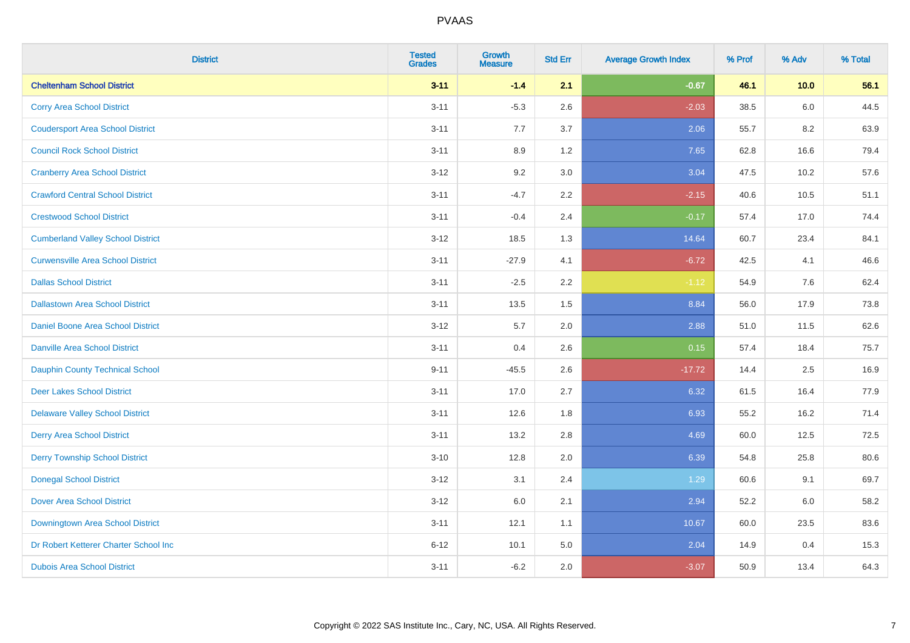| <b>District</b>                          | <b>Tested</b><br><b>Grades</b> | <b>Growth</b><br><b>Measure</b> | <b>Std Err</b> | <b>Average Growth Index</b> | % Prof | % Adv | % Total |
|------------------------------------------|--------------------------------|---------------------------------|----------------|-----------------------------|--------|-------|---------|
| <b>Cheltenham School District</b>        | $3 - 11$                       | $-1.4$                          | 2.1            | $-0.67$                     | 46.1   | 10.0  | 56.1    |
| <b>Corry Area School District</b>        | $3 - 11$                       | $-5.3$                          | 2.6            | $-2.03$                     | 38.5   | 6.0   | 44.5    |
| <b>Coudersport Area School District</b>  | $3 - 11$                       | 7.7                             | 3.7            | 2.06                        | 55.7   | 8.2   | 63.9    |
| <b>Council Rock School District</b>      | $3 - 11$                       | 8.9                             | 1.2            | 7.65                        | 62.8   | 16.6  | 79.4    |
| <b>Cranberry Area School District</b>    | $3 - 12$                       | 9.2                             | 3.0            | 3.04                        | 47.5   | 10.2  | 57.6    |
| <b>Crawford Central School District</b>  | $3 - 11$                       | $-4.7$                          | 2.2            | $-2.15$                     | 40.6   | 10.5  | 51.1    |
| <b>Crestwood School District</b>         | $3 - 11$                       | $-0.4$                          | 2.4            | $-0.17$                     | 57.4   | 17.0  | 74.4    |
| <b>Cumberland Valley School District</b> | $3-12$                         | 18.5                            | 1.3            | 14.64                       | 60.7   | 23.4  | 84.1    |
| <b>Curwensville Area School District</b> | $3 - 11$                       | $-27.9$                         | 4.1            | $-6.72$                     | 42.5   | 4.1   | 46.6    |
| <b>Dallas School District</b>            | $3 - 11$                       | $-2.5$                          | 2.2            | $-1.12$                     | 54.9   | 7.6   | 62.4    |
| <b>Dallastown Area School District</b>   | $3 - 11$                       | 13.5                            | 1.5            | 8.84                        | 56.0   | 17.9  | 73.8    |
| <b>Daniel Boone Area School District</b> | $3 - 12$                       | 5.7                             | 2.0            | 2.88                        | 51.0   | 11.5  | 62.6    |
| <b>Danville Area School District</b>     | $3 - 11$                       | 0.4                             | 2.6            | 0.15                        | 57.4   | 18.4  | 75.7    |
| <b>Dauphin County Technical School</b>   | $9 - 11$                       | $-45.5$                         | 2.6            | $-17.72$                    | 14.4   | 2.5   | 16.9    |
| <b>Deer Lakes School District</b>        | $3 - 11$                       | 17.0                            | 2.7            | 6.32                        | 61.5   | 16.4  | 77.9    |
| <b>Delaware Valley School District</b>   | $3 - 11$                       | 12.6                            | 1.8            | 6.93                        | 55.2   | 16.2  | 71.4    |
| <b>Derry Area School District</b>        | $3 - 11$                       | 13.2                            | 2.8            | 4.69                        | 60.0   | 12.5  | 72.5    |
| <b>Derry Township School District</b>    | $3 - 10$                       | 12.8                            | 2.0            | 6.39                        | 54.8   | 25.8  | 80.6    |
| <b>Donegal School District</b>           | $3 - 12$                       | 3.1                             | 2.4            | 1.29                        | 60.6   | 9.1   | 69.7    |
| <b>Dover Area School District</b>        | $3-12$                         | 6.0                             | 2.1            | 2.94                        | 52.2   | 6.0   | 58.2    |
| Downingtown Area School District         | $3 - 11$                       | 12.1                            | 1.1            | 10.67                       | 60.0   | 23.5  | 83.6    |
| Dr Robert Ketterer Charter School Inc    | $6 - 12$                       | 10.1                            | 5.0            | 2.04                        | 14.9   | 0.4   | 15.3    |
| <b>Dubois Area School District</b>       | $3 - 11$                       | $-6.2$                          | 2.0            | $-3.07$                     | 50.9   | 13.4  | 64.3    |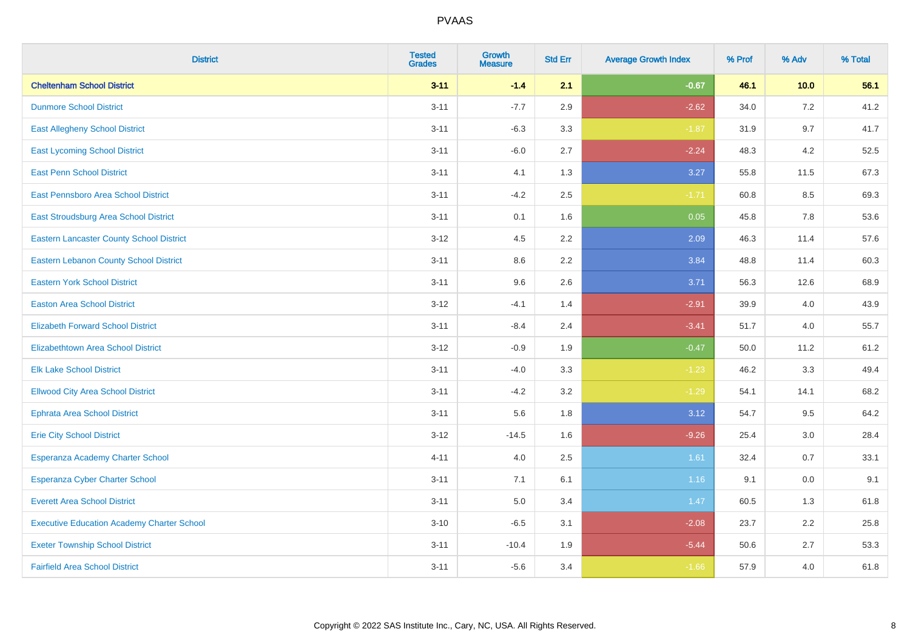| <b>District</b>                                   | <b>Tested</b><br><b>Grades</b> | <b>Growth</b><br><b>Measure</b> | <b>Std Err</b> | <b>Average Growth Index</b> | % Prof | % Adv | % Total |
|---------------------------------------------------|--------------------------------|---------------------------------|----------------|-----------------------------|--------|-------|---------|
| <b>Cheltenham School District</b>                 | $3 - 11$                       | $-1.4$                          | 2.1            | $-0.67$                     | 46.1   | 10.0  | 56.1    |
| <b>Dunmore School District</b>                    | $3 - 11$                       | $-7.7$                          | 2.9            | $-2.62$                     | 34.0   | 7.2   | 41.2    |
| <b>East Allegheny School District</b>             | $3 - 11$                       | $-6.3$                          | 3.3            | $-1.87$                     | 31.9   | 9.7   | 41.7    |
| <b>East Lycoming School District</b>              | $3 - 11$                       | $-6.0$                          | 2.7            | $-2.24$                     | 48.3   | 4.2   | 52.5    |
| <b>East Penn School District</b>                  | $3 - 11$                       | 4.1                             | 1.3            | 3.27                        | 55.8   | 11.5  | 67.3    |
| <b>East Pennsboro Area School District</b>        | $3 - 11$                       | $-4.2$                          | 2.5            | $-1.71$                     | 60.8   | 8.5   | 69.3    |
| East Stroudsburg Area School District             | $3 - 11$                       | 0.1                             | 1.6            | 0.05                        | 45.8   | 7.8   | 53.6    |
| <b>Eastern Lancaster County School District</b>   | $3 - 12$                       | 4.5                             | 2.2            | 2.09                        | 46.3   | 11.4  | 57.6    |
| <b>Eastern Lebanon County School District</b>     | $3 - 11$                       | 8.6                             | 2.2            | 3.84                        | 48.8   | 11.4  | 60.3    |
| <b>Eastern York School District</b>               | $3 - 11$                       | 9.6                             | 2.6            | 3.71                        | 56.3   | 12.6  | 68.9    |
| <b>Easton Area School District</b>                | $3 - 12$                       | $-4.1$                          | 1.4            | $-2.91$                     | 39.9   | 4.0   | 43.9    |
| <b>Elizabeth Forward School District</b>          | $3 - 11$                       | $-8.4$                          | 2.4            | $-3.41$                     | 51.7   | 4.0   | 55.7    |
| <b>Elizabethtown Area School District</b>         | $3 - 12$                       | $-0.9$                          | 1.9            | $-0.47$                     | 50.0   | 11.2  | 61.2    |
| <b>Elk Lake School District</b>                   | $3 - 11$                       | $-4.0$                          | 3.3            | $-1.23$                     | 46.2   | 3.3   | 49.4    |
| <b>Ellwood City Area School District</b>          | $3 - 11$                       | $-4.2$                          | 3.2            | $-1.29$                     | 54.1   | 14.1  | 68.2    |
| <b>Ephrata Area School District</b>               | $3 - 11$                       | 5.6                             | 1.8            | 3.12                        | 54.7   | 9.5   | 64.2    |
| <b>Erie City School District</b>                  | $3 - 12$                       | $-14.5$                         | 1.6            | $-9.26$                     | 25.4   | 3.0   | 28.4    |
| Esperanza Academy Charter School                  | $4 - 11$                       | 4.0                             | 2.5            | 1.61                        | 32.4   | 0.7   | 33.1    |
| <b>Esperanza Cyber Charter School</b>             | $3 - 11$                       | 7.1                             | 6.1            | 1.16                        | 9.1    | 0.0   | 9.1     |
| <b>Everett Area School District</b>               | $3 - 11$                       | 5.0                             | 3.4            | 1.47                        | 60.5   | 1.3   | 61.8    |
| <b>Executive Education Academy Charter School</b> | $3 - 10$                       | $-6.5$                          | 3.1            | $-2.08$                     | 23.7   | 2.2   | 25.8    |
| <b>Exeter Township School District</b>            | $3 - 11$                       | $-10.4$                         | 1.9            | $-5.44$                     | 50.6   | 2.7   | 53.3    |
| <b>Fairfield Area School District</b>             | $3 - 11$                       | $-5.6$                          | 3.4            | $-1.66$                     | 57.9   | 4.0   | 61.8    |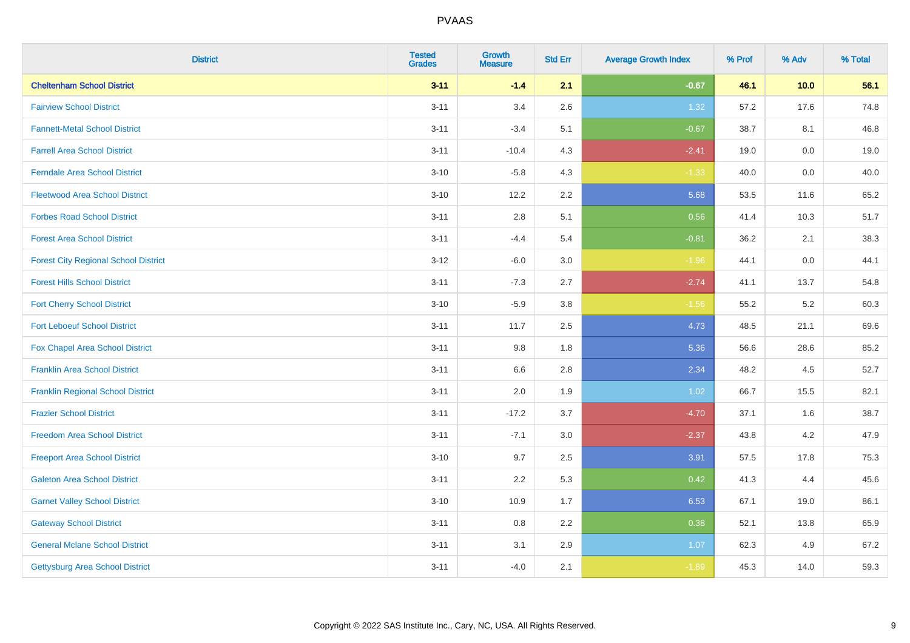| <b>District</b>                             | <b>Tested</b><br><b>Grades</b> | <b>Growth</b><br><b>Measure</b> | <b>Std Err</b> | <b>Average Growth Index</b> | % Prof | % Adv   | % Total |
|---------------------------------------------|--------------------------------|---------------------------------|----------------|-----------------------------|--------|---------|---------|
| <b>Cheltenham School District</b>           | $3 - 11$                       | $-1.4$                          | 2.1            | $-0.67$                     | 46.1   | 10.0    | 56.1    |
| <b>Fairview School District</b>             | $3 - 11$                       | 3.4                             | 2.6            | 1.32                        | 57.2   | 17.6    | 74.8    |
| <b>Fannett-Metal School District</b>        | $3 - 11$                       | $-3.4$                          | 5.1            | $-0.67$                     | 38.7   | 8.1     | 46.8    |
| <b>Farrell Area School District</b>         | $3 - 11$                       | $-10.4$                         | 4.3            | $-2.41$                     | 19.0   | $0.0\,$ | 19.0    |
| <b>Ferndale Area School District</b>        | $3 - 10$                       | $-5.8$                          | 4.3            | $-1.33$                     | 40.0   | 0.0     | 40.0    |
| <b>Fleetwood Area School District</b>       | $3 - 10$                       | 12.2                            | 2.2            | 5.68                        | 53.5   | 11.6    | 65.2    |
| <b>Forbes Road School District</b>          | $3 - 11$                       | 2.8                             | 5.1            | 0.56                        | 41.4   | 10.3    | 51.7    |
| <b>Forest Area School District</b>          | $3 - 11$                       | $-4.4$                          | 5.4            | $-0.81$                     | 36.2   | 2.1     | 38.3    |
| <b>Forest City Regional School District</b> | $3 - 12$                       | $-6.0$                          | 3.0            | $-1.96$                     | 44.1   | 0.0     | 44.1    |
| <b>Forest Hills School District</b>         | $3 - 11$                       | $-7.3$                          | 2.7            | $-2.74$                     | 41.1   | 13.7    | 54.8    |
| <b>Fort Cherry School District</b>          | $3 - 10$                       | $-5.9$                          | $3.8\,$        | $-1.56$                     | 55.2   | 5.2     | 60.3    |
| <b>Fort Leboeuf School District</b>         | $3 - 11$                       | 11.7                            | 2.5            | 4.73                        | 48.5   | 21.1    | 69.6    |
| Fox Chapel Area School District             | $3 - 11$                       | 9.8                             | 1.8            | 5.36                        | 56.6   | 28.6    | 85.2    |
| <b>Franklin Area School District</b>        | $3 - 11$                       | 6.6                             | 2.8            | 2.34                        | 48.2   | 4.5     | 52.7    |
| <b>Franklin Regional School District</b>    | $3 - 11$                       | 2.0                             | 1.9            | 1.02                        | 66.7   | 15.5    | 82.1    |
| <b>Frazier School District</b>              | $3 - 11$                       | $-17.2$                         | 3.7            | $-4.70$                     | 37.1   | 1.6     | 38.7    |
| <b>Freedom Area School District</b>         | $3 - 11$                       | $-7.1$                          | 3.0            | $-2.37$                     | 43.8   | 4.2     | 47.9    |
| <b>Freeport Area School District</b>        | $3 - 10$                       | 9.7                             | 2.5            | 3.91                        | 57.5   | 17.8    | 75.3    |
| <b>Galeton Area School District</b>         | $3 - 11$                       | 2.2                             | 5.3            | 0.42                        | 41.3   | 4.4     | 45.6    |
| <b>Garnet Valley School District</b>        | $3 - 10$                       | 10.9                            | 1.7            | 6.53                        | 67.1   | 19.0    | 86.1    |
| <b>Gateway School District</b>              | $3 - 11$                       | 0.8                             | 2.2            | 0.38                        | 52.1   | 13.8    | 65.9    |
| <b>General Mclane School District</b>       | $3 - 11$                       | 3.1                             | 2.9            | 1.07                        | 62.3   | 4.9     | 67.2    |
| <b>Gettysburg Area School District</b>      | $3 - 11$                       | $-4.0$                          | 2.1            | $-1.89$                     | 45.3   | 14.0    | 59.3    |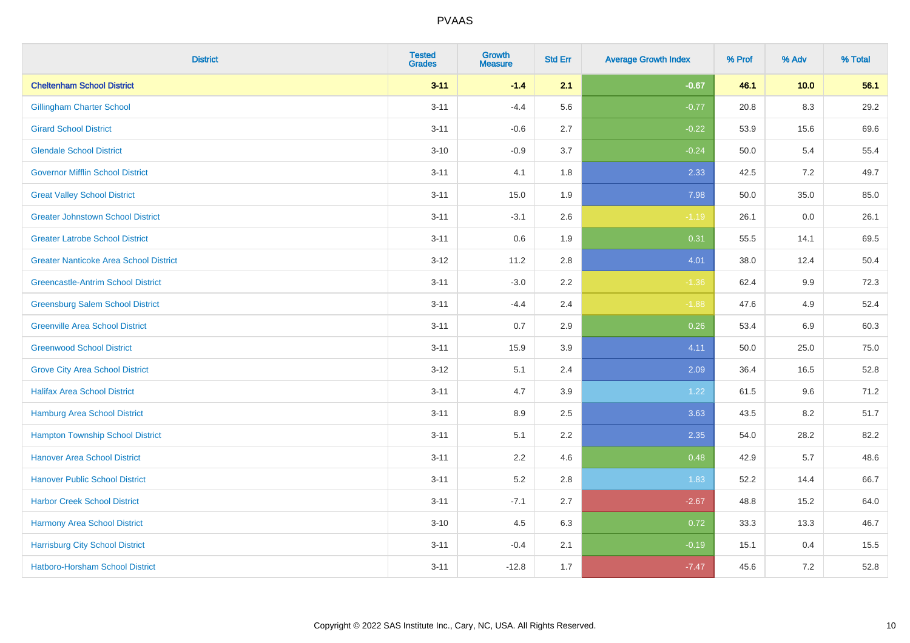| <b>District</b>                               | <b>Tested</b><br><b>Grades</b> | <b>Growth</b><br><b>Measure</b> | <b>Std Err</b> | <b>Average Growth Index</b> | % Prof | % Adv | % Total |
|-----------------------------------------------|--------------------------------|---------------------------------|----------------|-----------------------------|--------|-------|---------|
| <b>Cheltenham School District</b>             | $3 - 11$                       | $-1.4$                          | 2.1            | $-0.67$                     | 46.1   | 10.0  | 56.1    |
| <b>Gillingham Charter School</b>              | $3 - 11$                       | $-4.4$                          | 5.6            | $-0.77$                     | 20.8   | 8.3   | 29.2    |
| <b>Girard School District</b>                 | $3 - 11$                       | $-0.6$                          | 2.7            | $-0.22$                     | 53.9   | 15.6  | 69.6    |
| <b>Glendale School District</b>               | $3 - 10$                       | $-0.9$                          | 3.7            | $-0.24$                     | 50.0   | 5.4   | 55.4    |
| <b>Governor Mifflin School District</b>       | $3 - 11$                       | 4.1                             | 1.8            | 2.33                        | 42.5   | 7.2   | 49.7    |
| <b>Great Valley School District</b>           | $3 - 11$                       | 15.0                            | 1.9            | 7.98                        | 50.0   | 35.0  | 85.0    |
| <b>Greater Johnstown School District</b>      | $3 - 11$                       | $-3.1$                          | 2.6            | $-1.19$                     | 26.1   | 0.0   | 26.1    |
| <b>Greater Latrobe School District</b>        | $3 - 11$                       | 0.6                             | 1.9            | 0.31                        | 55.5   | 14.1  | 69.5    |
| <b>Greater Nanticoke Area School District</b> | $3-12$                         | 11.2                            | 2.8            | 4.01                        | 38.0   | 12.4  | 50.4    |
| <b>Greencastle-Antrim School District</b>     | $3 - 11$                       | $-3.0$                          | 2.2            | $-1.36$                     | 62.4   | 9.9   | 72.3    |
| <b>Greensburg Salem School District</b>       | $3 - 11$                       | $-4.4$                          | 2.4            | $-1.88$                     | 47.6   | 4.9   | 52.4    |
| <b>Greenville Area School District</b>        | $3 - 11$                       | 0.7                             | 2.9            | 0.26                        | 53.4   | 6.9   | 60.3    |
| <b>Greenwood School District</b>              | $3 - 11$                       | 15.9                            | 3.9            | 4.11                        | 50.0   | 25.0  | 75.0    |
| <b>Grove City Area School District</b>        | $3 - 12$                       | 5.1                             | 2.4            | 2.09                        | 36.4   | 16.5  | 52.8    |
| <b>Halifax Area School District</b>           | $3 - 11$                       | 4.7                             | 3.9            | 1.22                        | 61.5   | 9.6   | 71.2    |
| <b>Hamburg Area School District</b>           | $3 - 11$                       | 8.9                             | 2.5            | 3.63                        | 43.5   | 8.2   | 51.7    |
| <b>Hampton Township School District</b>       | $3 - 11$                       | 5.1                             | 2.2            | 2.35                        | 54.0   | 28.2  | 82.2    |
| <b>Hanover Area School District</b>           | $3 - 11$                       | 2.2                             | 4.6            | 0.48                        | 42.9   | 5.7   | 48.6    |
| <b>Hanover Public School District</b>         | $3 - 11$                       | 5.2                             | 2.8            | 1.83                        | 52.2   | 14.4  | 66.7    |
| <b>Harbor Creek School District</b>           | $3 - 11$                       | $-7.1$                          | 2.7            | $-2.67$                     | 48.8   | 15.2  | 64.0    |
| Harmony Area School District                  | $3 - 10$                       | 4.5                             | 6.3            | 0.72                        | 33.3   | 13.3  | 46.7    |
| <b>Harrisburg City School District</b>        | $3 - 11$                       | $-0.4$                          | 2.1            | $-0.19$                     | 15.1   | 0.4   | 15.5    |
| Hatboro-Horsham School District               | $3 - 11$                       | $-12.8$                         | 1.7            | $-7.47$                     | 45.6   | 7.2   | 52.8    |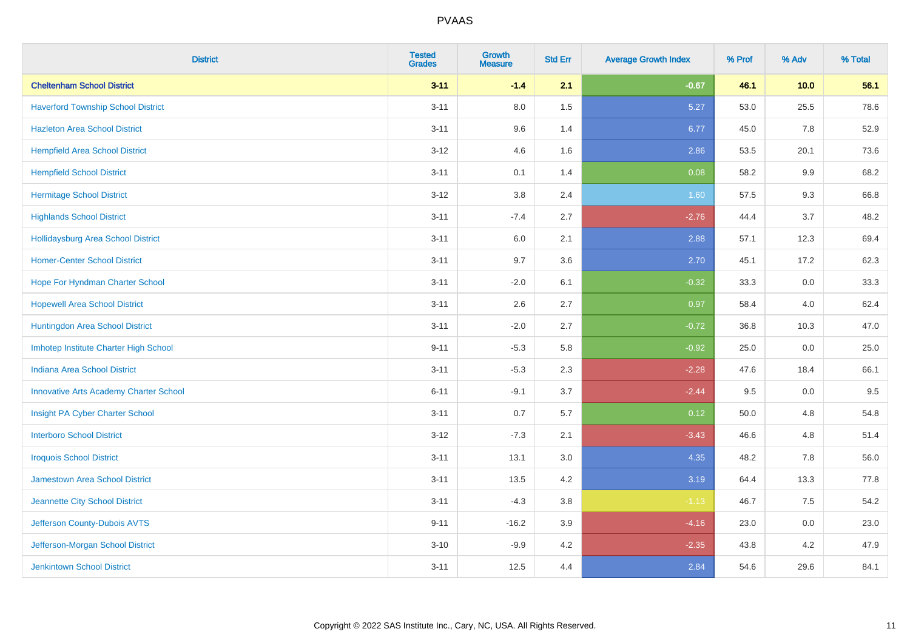| <b>District</b>                               | <b>Tested</b><br><b>Grades</b> | <b>Growth</b><br><b>Measure</b> | <b>Std Err</b> | <b>Average Growth Index</b> | % Prof | % Adv | % Total |
|-----------------------------------------------|--------------------------------|---------------------------------|----------------|-----------------------------|--------|-------|---------|
| <b>Cheltenham School District</b>             | $3 - 11$                       | $-1.4$                          | 2.1            | $-0.67$                     | 46.1   | 10.0  | 56.1    |
| <b>Haverford Township School District</b>     | $3 - 11$                       | 8.0                             | 1.5            | 5.27                        | 53.0   | 25.5  | 78.6    |
| <b>Hazleton Area School District</b>          | $3 - 11$                       | 9.6                             | 1.4            | 6.77                        | 45.0   | 7.8   | 52.9    |
| <b>Hempfield Area School District</b>         | $3 - 12$                       | 4.6                             | 1.6            | 2.86                        | 53.5   | 20.1  | 73.6    |
| <b>Hempfield School District</b>              | $3 - 11$                       | 0.1                             | 1.4            | 0.08                        | 58.2   | 9.9   | 68.2    |
| <b>Hermitage School District</b>              | $3 - 12$                       | 3.8                             | 2.4            | 1.60                        | 57.5   | 9.3   | 66.8    |
| <b>Highlands School District</b>              | $3 - 11$                       | $-7.4$                          | 2.7            | $-2.76$                     | 44.4   | 3.7   | 48.2    |
| <b>Hollidaysburg Area School District</b>     | $3 - 11$                       | 6.0                             | 2.1            | 2.88                        | 57.1   | 12.3  | 69.4    |
| <b>Homer-Center School District</b>           | $3 - 11$                       | 9.7                             | 3.6            | 2.70                        | 45.1   | 17.2  | 62.3    |
| Hope For Hyndman Charter School               | $3 - 11$                       | $-2.0$                          | 6.1            | $-0.32$                     | 33.3   | 0.0   | 33.3    |
| <b>Hopewell Area School District</b>          | $3 - 11$                       | 2.6                             | 2.7            | 0.97                        | 58.4   | 4.0   | 62.4    |
| Huntingdon Area School District               | $3 - 11$                       | $-2.0$                          | 2.7            | $-0.72$                     | 36.8   | 10.3  | 47.0    |
| Imhotep Institute Charter High School         | $9 - 11$                       | $-5.3$                          | 5.8            | $-0.92$                     | 25.0   | 0.0   | 25.0    |
| <b>Indiana Area School District</b>           | $3 - 11$                       | $-5.3$                          | 2.3            | $-2.28$                     | 47.6   | 18.4  | 66.1    |
| <b>Innovative Arts Academy Charter School</b> | $6 - 11$                       | $-9.1$                          | 3.7            | $-2.44$                     | 9.5    | 0.0   | 9.5     |
| Insight PA Cyber Charter School               | $3 - 11$                       | 0.7                             | 5.7            | 0.12                        | 50.0   | 4.8   | 54.8    |
| <b>Interboro School District</b>              | $3 - 12$                       | $-7.3$                          | 2.1            | $-3.43$                     | 46.6   | 4.8   | 51.4    |
| <b>Iroquois School District</b>               | $3 - 11$                       | 13.1                            | 3.0            | 4.35                        | 48.2   | 7.8   | 56.0    |
| Jamestown Area School District                | $3 - 11$                       | 13.5                            | 4.2            | 3.19                        | 64.4   | 13.3  | 77.8    |
| Jeannette City School District                | $3 - 11$                       | $-4.3$                          | 3.8            | $-1.13$                     | 46.7   | 7.5   | 54.2    |
| Jefferson County-Dubois AVTS                  | $9 - 11$                       | $-16.2$                         | 3.9            | $-4.16$                     | 23.0   | 0.0   | 23.0    |
| Jefferson-Morgan School District              | $3 - 10$                       | $-9.9$                          | 4.2            | $-2.35$                     | 43.8   | 4.2   | 47.9    |
| <b>Jenkintown School District</b>             | $3 - 11$                       | 12.5                            | 4.4            | 2.84                        | 54.6   | 29.6  | 84.1    |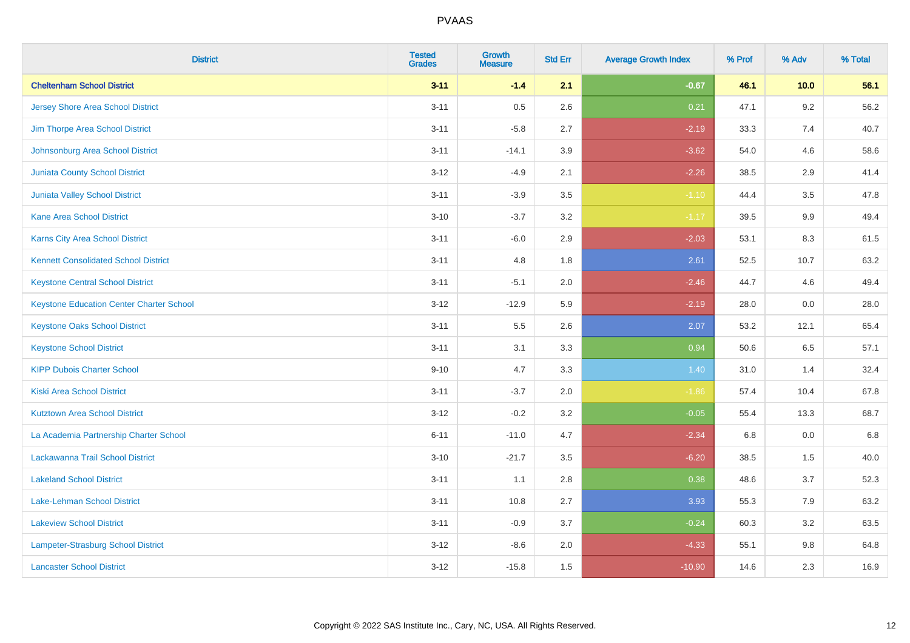| <b>District</b>                                 | <b>Tested</b><br><b>Grades</b> | <b>Growth</b><br><b>Measure</b> | <b>Std Err</b> | <b>Average Growth Index</b> | % Prof | % Adv   | % Total |
|-------------------------------------------------|--------------------------------|---------------------------------|----------------|-----------------------------|--------|---------|---------|
| <b>Cheltenham School District</b>               | $3 - 11$                       | $-1.4$                          | 2.1            | $-0.67$                     | 46.1   | 10.0    | 56.1    |
| <b>Jersey Shore Area School District</b>        | $3 - 11$                       | 0.5                             | 2.6            | 0.21                        | 47.1   | 9.2     | 56.2    |
| Jim Thorpe Area School District                 | $3 - 11$                       | $-5.8$                          | 2.7            | $-2.19$                     | 33.3   | 7.4     | 40.7    |
| Johnsonburg Area School District                | $3 - 11$                       | $-14.1$                         | 3.9            | $-3.62$                     | 54.0   | 4.6     | 58.6    |
| <b>Juniata County School District</b>           | $3 - 12$                       | $-4.9$                          | 2.1            | $-2.26$                     | 38.5   | 2.9     | 41.4    |
| <b>Juniata Valley School District</b>           | $3 - 11$                       | $-3.9$                          | 3.5            | $-1.10$                     | 44.4   | 3.5     | 47.8    |
| <b>Kane Area School District</b>                | $3 - 10$                       | $-3.7$                          | 3.2            | $-1.17$                     | 39.5   | $9.9\,$ | 49.4    |
| <b>Karns City Area School District</b>          | $3 - 11$                       | $-6.0$                          | 2.9            | $-2.03$                     | 53.1   | 8.3     | 61.5    |
| <b>Kennett Consolidated School District</b>     | $3 - 11$                       | 4.8                             | 1.8            | 2.61                        | 52.5   | 10.7    | 63.2    |
| <b>Keystone Central School District</b>         | $3 - 11$                       | $-5.1$                          | 2.0            | $-2.46$                     | 44.7   | 4.6     | 49.4    |
| <b>Keystone Education Center Charter School</b> | $3 - 12$                       | $-12.9$                         | 5.9            | $-2.19$                     | 28.0   | 0.0     | 28.0    |
| <b>Keystone Oaks School District</b>            | $3 - 11$                       | 5.5                             | 2.6            | 2.07                        | 53.2   | 12.1    | 65.4    |
| <b>Keystone School District</b>                 | $3 - 11$                       | 3.1                             | 3.3            | 0.94                        | 50.6   | 6.5     | 57.1    |
| <b>KIPP Dubois Charter School</b>               | $9 - 10$                       | 4.7                             | 3.3            | 1.40                        | 31.0   | 1.4     | 32.4    |
| <b>Kiski Area School District</b>               | $3 - 11$                       | $-3.7$                          | 2.0            | $-1.86$                     | 57.4   | 10.4    | 67.8    |
| <b>Kutztown Area School District</b>            | $3 - 12$                       | $-0.2$                          | 3.2            | $-0.05$                     | 55.4   | 13.3    | 68.7    |
| La Academia Partnership Charter School          | $6 - 11$                       | $-11.0$                         | 4.7            | $-2.34$                     | 6.8    | 0.0     | 6.8     |
| Lackawanna Trail School District                | $3 - 10$                       | $-21.7$                         | 3.5            | $-6.20$                     | 38.5   | 1.5     | 40.0    |
| <b>Lakeland School District</b>                 | $3 - 11$                       | 1.1                             | 2.8            | 0.38                        | 48.6   | 3.7     | 52.3    |
| Lake-Lehman School District                     | $3 - 11$                       | 10.8                            | 2.7            | 3.93                        | 55.3   | 7.9     | 63.2    |
| <b>Lakeview School District</b>                 | $3 - 11$                       | $-0.9$                          | 3.7            | $-0.24$                     | 60.3   | 3.2     | 63.5    |
| Lampeter-Strasburg School District              | $3 - 12$                       | $-8.6$                          | 2.0            | $-4.33$                     | 55.1   | $9.8\,$ | 64.8    |
| <b>Lancaster School District</b>                | $3 - 12$                       | $-15.8$                         | 1.5            | $-10.90$                    | 14.6   | 2.3     | 16.9    |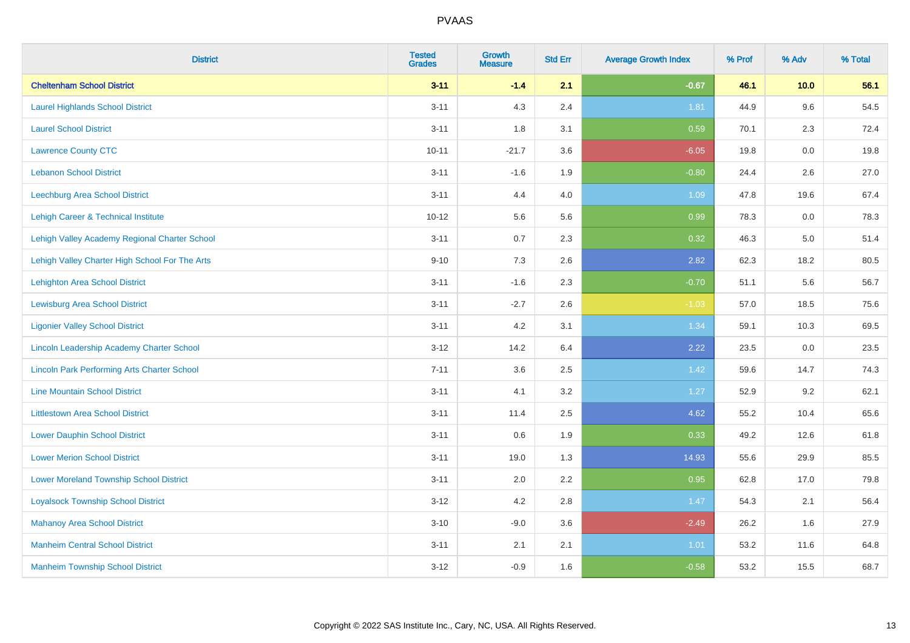| <b>District</b>                                    | <b>Tested</b><br><b>Grades</b> | <b>Growth</b><br><b>Measure</b> | <b>Std Err</b> | <b>Average Growth Index</b> | % Prof | % Adv   | % Total |
|----------------------------------------------------|--------------------------------|---------------------------------|----------------|-----------------------------|--------|---------|---------|
| <b>Cheltenham School District</b>                  | $3 - 11$                       | $-1.4$                          | 2.1            | $-0.67$                     | 46.1   | 10.0    | 56.1    |
| <b>Laurel Highlands School District</b>            | $3 - 11$                       | 4.3                             | 2.4            | 1.81                        | 44.9   | 9.6     | 54.5    |
| <b>Laurel School District</b>                      | $3 - 11$                       | 1.8                             | 3.1            | 0.59                        | 70.1   | 2.3     | 72.4    |
| <b>Lawrence County CTC</b>                         | $10 - 11$                      | $-21.7$                         | 3.6            | $-6.05$                     | 19.8   | $0.0\,$ | 19.8    |
| <b>Lebanon School District</b>                     | $3 - 11$                       | $-1.6$                          | 1.9            | $-0.80$                     | 24.4   | 2.6     | 27.0    |
| <b>Leechburg Area School District</b>              | $3 - 11$                       | 4.4                             | 4.0            | 1.09                        | 47.8   | 19.6    | 67.4    |
| Lehigh Career & Technical Institute                | $10 - 12$                      | 5.6                             | 5.6            | 0.99                        | 78.3   | 0.0     | 78.3    |
| Lehigh Valley Academy Regional Charter School      | $3 - 11$                       | 0.7                             | 2.3            | 0.32                        | 46.3   | 5.0     | 51.4    |
| Lehigh Valley Charter High School For The Arts     | $9 - 10$                       | 7.3                             | 2.6            | 2.82                        | 62.3   | 18.2    | 80.5    |
| <b>Lehighton Area School District</b>              | $3 - 11$                       | $-1.6$                          | 2.3            | $-0.70$                     | 51.1   | 5.6     | 56.7    |
| <b>Lewisburg Area School District</b>              | $3 - 11$                       | $-2.7$                          | 2.6            | $-1.03$                     | 57.0   | 18.5    | 75.6    |
| <b>Ligonier Valley School District</b>             | $3 - 11$                       | 4.2                             | 3.1            | 1.34                        | 59.1   | 10.3    | 69.5    |
| Lincoln Leadership Academy Charter School          | $3 - 12$                       | 14.2                            | 6.4            | 2.22                        | 23.5   | 0.0     | 23.5    |
| <b>Lincoln Park Performing Arts Charter School</b> | $7 - 11$                       | 3.6                             | 2.5            | 1.42                        | 59.6   | 14.7    | 74.3    |
| <b>Line Mountain School District</b>               | $3 - 11$                       | 4.1                             | 3.2            | 1.27                        | 52.9   | 9.2     | 62.1    |
| <b>Littlestown Area School District</b>            | $3 - 11$                       | 11.4                            | 2.5            | 4.62                        | 55.2   | 10.4    | 65.6    |
| <b>Lower Dauphin School District</b>               | $3 - 11$                       | 0.6                             | 1.9            | 0.33                        | 49.2   | 12.6    | 61.8    |
| <b>Lower Merion School District</b>                | $3 - 11$                       | 19.0                            | 1.3            | 14.93                       | 55.6   | 29.9    | 85.5    |
| <b>Lower Moreland Township School District</b>     | $3 - 11$                       | 2.0                             | 2.2            | 0.95                        | 62.8   | 17.0    | 79.8    |
| <b>Loyalsock Township School District</b>          | $3 - 12$                       | 4.2                             | 2.8            | 1.47                        | 54.3   | 2.1     | 56.4    |
| <b>Mahanoy Area School District</b>                | $3 - 10$                       | $-9.0$                          | 3.6            | $-2.49$                     | 26.2   | 1.6     | 27.9    |
| <b>Manheim Central School District</b>             | $3 - 11$                       | 2.1                             | 2.1            | 1.01                        | 53.2   | 11.6    | 64.8    |
| <b>Manheim Township School District</b>            | $3 - 12$                       | $-0.9$                          | 1.6            | $-0.58$                     | 53.2   | 15.5    | 68.7    |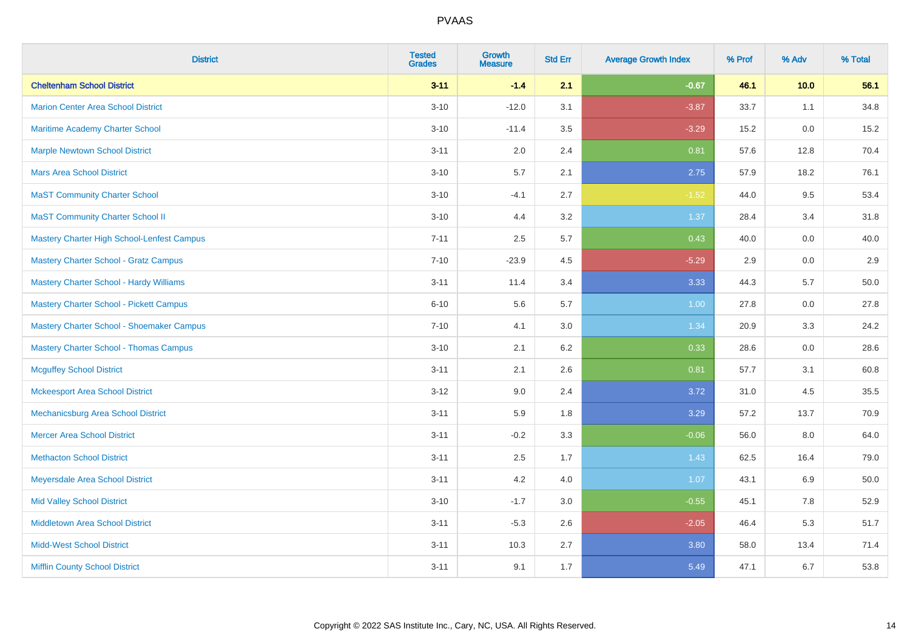| <b>District</b>                                | <b>Tested</b><br><b>Grades</b> | <b>Growth</b><br><b>Measure</b> | <b>Std Err</b> | <b>Average Growth Index</b> | % Prof | % Adv | % Total |
|------------------------------------------------|--------------------------------|---------------------------------|----------------|-----------------------------|--------|-------|---------|
| <b>Cheltenham School District</b>              | $3 - 11$                       | $-1.4$                          | 2.1            | $-0.67$                     | 46.1   | 10.0  | 56.1    |
| <b>Marion Center Area School District</b>      | $3 - 10$                       | $-12.0$                         | 3.1            | $-3.87$                     | 33.7   | 1.1   | 34.8    |
| <b>Maritime Academy Charter School</b>         | $3 - 10$                       | $-11.4$                         | 3.5            | $-3.29$                     | 15.2   | 0.0   | 15.2    |
| <b>Marple Newtown School District</b>          | $3 - 11$                       | 2.0                             | 2.4            | 0.81                        | 57.6   | 12.8  | 70.4    |
| <b>Mars Area School District</b>               | $3 - 10$                       | 5.7                             | 2.1            | 2.75                        | 57.9   | 18.2  | 76.1    |
| <b>MaST Community Charter School</b>           | $3 - 10$                       | $-4.1$                          | 2.7            | $-1.52$                     | 44.0   | 9.5   | 53.4    |
| <b>MaST Community Charter School II</b>        | $3 - 10$                       | 4.4                             | 3.2            | 1.37                        | 28.4   | 3.4   | 31.8    |
| Mastery Charter High School-Lenfest Campus     | $7 - 11$                       | 2.5                             | 5.7            | 0.43                        | 40.0   | 0.0   | 40.0    |
| <b>Mastery Charter School - Gratz Campus</b>   | $7 - 10$                       | $-23.9$                         | 4.5            | $-5.29$                     | 2.9    | 0.0   | $2.9\,$ |
| <b>Mastery Charter School - Hardy Williams</b> | $3 - 11$                       | 11.4                            | 3.4            | 3.33                        | 44.3   | 5.7   | 50.0    |
| <b>Mastery Charter School - Pickett Campus</b> | $6 - 10$                       | 5.6                             | 5.7            | 1.00                        | 27.8   | 0.0   | 27.8    |
| Mastery Charter School - Shoemaker Campus      | $7 - 10$                       | 4.1                             | 3.0            | 1.34                        | 20.9   | 3.3   | 24.2    |
| <b>Mastery Charter School - Thomas Campus</b>  | $3 - 10$                       | 2.1                             | 6.2            | 0.33                        | 28.6   | 0.0   | 28.6    |
| <b>Mcguffey School District</b>                | $3 - 11$                       | 2.1                             | 2.6            | 0.81                        | 57.7   | 3.1   | 60.8    |
| <b>Mckeesport Area School District</b>         | $3 - 12$                       | 9.0                             | 2.4            | 3.72                        | 31.0   | 4.5   | 35.5    |
| Mechanicsburg Area School District             | $3 - 11$                       | 5.9                             | 1.8            | 3.29                        | 57.2   | 13.7  | 70.9    |
| <b>Mercer Area School District</b>             | $3 - 11$                       | $-0.2$                          | 3.3            | $-0.06$                     | 56.0   | 8.0   | 64.0    |
| <b>Methacton School District</b>               | $3 - 11$                       | 2.5                             | 1.7            | 1.43                        | 62.5   | 16.4  | 79.0    |
| Meyersdale Area School District                | $3 - 11$                       | 4.2                             | 4.0            | 1.07                        | 43.1   | 6.9   | 50.0    |
| <b>Mid Valley School District</b>              | $3 - 10$                       | $-1.7$                          | 3.0            | $-0.55$                     | 45.1   | 7.8   | 52.9    |
| <b>Middletown Area School District</b>         | $3 - 11$                       | $-5.3$                          | 2.6            | $-2.05$                     | 46.4   | 5.3   | 51.7    |
| <b>Midd-West School District</b>               | $3 - 11$                       | 10.3                            | 2.7            | 3.80                        | 58.0   | 13.4  | 71.4    |
| <b>Mifflin County School District</b>          | $3 - 11$                       | 9.1                             | 1.7            | 5.49                        | 47.1   | 6.7   | 53.8    |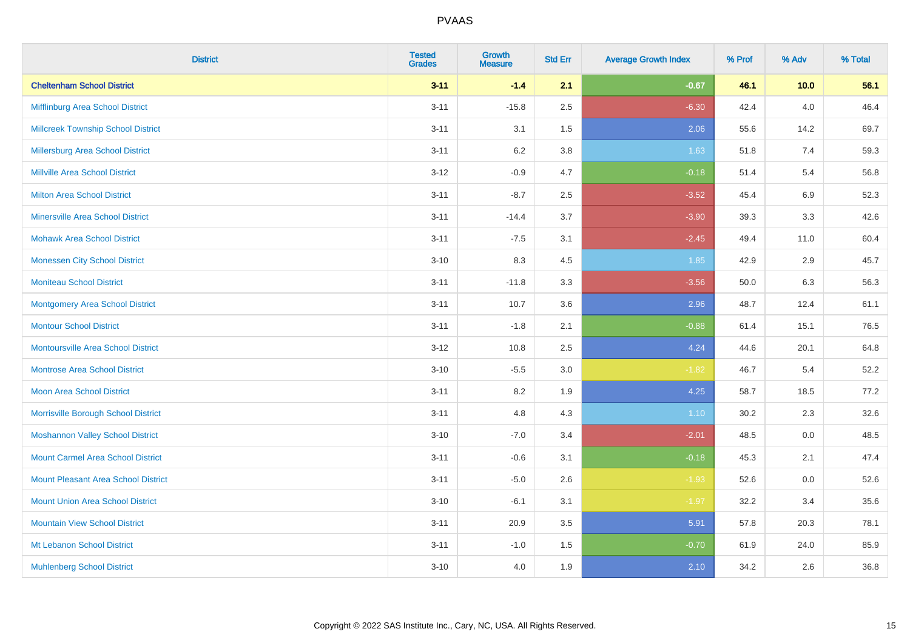| <b>District</b>                            | <b>Tested</b><br><b>Grades</b> | <b>Growth</b><br><b>Measure</b> | <b>Std Err</b> | <b>Average Growth Index</b> | % Prof | % Adv   | % Total |
|--------------------------------------------|--------------------------------|---------------------------------|----------------|-----------------------------|--------|---------|---------|
| <b>Cheltenham School District</b>          | $3 - 11$                       | $-1.4$                          | 2.1            | $-0.67$                     | 46.1   | 10.0    | 56.1    |
| Mifflinburg Area School District           | $3 - 11$                       | $-15.8$                         | 2.5            | $-6.30$                     | 42.4   | $4.0\,$ | 46.4    |
| <b>Millcreek Township School District</b>  | $3 - 11$                       | 3.1                             | 1.5            | 2.06                        | 55.6   | 14.2    | 69.7    |
| Millersburg Area School District           | $3 - 11$                       | $6.2\,$                         | 3.8            | 1.63                        | 51.8   | 7.4     | 59.3    |
| Millville Area School District             | $3 - 12$                       | $-0.9$                          | 4.7            | $-0.18$                     | 51.4   | 5.4     | 56.8    |
| <b>Milton Area School District</b>         | $3 - 11$                       | $-8.7$                          | 2.5            | $-3.52$                     | 45.4   | 6.9     | 52.3    |
| <b>Minersville Area School District</b>    | $3 - 11$                       | $-14.4$                         | 3.7            | $-3.90$                     | 39.3   | 3.3     | 42.6    |
| <b>Mohawk Area School District</b>         | $3 - 11$                       | $-7.5$                          | 3.1            | $-2.45$                     | 49.4   | 11.0    | 60.4    |
| <b>Monessen City School District</b>       | $3 - 10$                       | 8.3                             | 4.5            | 1.85                        | 42.9   | 2.9     | 45.7    |
| <b>Moniteau School District</b>            | $3 - 11$                       | $-11.8$                         | 3.3            | $-3.56$                     | 50.0   | 6.3     | 56.3    |
| <b>Montgomery Area School District</b>     | $3 - 11$                       | 10.7                            | 3.6            | 2.96                        | 48.7   | 12.4    | 61.1    |
| <b>Montour School District</b>             | $3 - 11$                       | $-1.8$                          | 2.1            | $-0.88$                     | 61.4   | 15.1    | 76.5    |
| <b>Montoursville Area School District</b>  | $3 - 12$                       | 10.8                            | 2.5            | 4.24                        | 44.6   | 20.1    | 64.8    |
| <b>Montrose Area School District</b>       | $3 - 10$                       | $-5.5$                          | 3.0            | $-1.82$                     | 46.7   | 5.4     | 52.2    |
| <b>Moon Area School District</b>           | $3 - 11$                       | 8.2                             | 1.9            | 4.25                        | 58.7   | 18.5    | 77.2    |
| Morrisville Borough School District        | $3 - 11$                       | 4.8                             | 4.3            | 1.10                        | 30.2   | 2.3     | 32.6    |
| <b>Moshannon Valley School District</b>    | $3 - 10$                       | $-7.0$                          | 3.4            | $-2.01$                     | 48.5   | 0.0     | 48.5    |
| <b>Mount Carmel Area School District</b>   | $3 - 11$                       | $-0.6$                          | 3.1            | $-0.18$                     | 45.3   | 2.1     | 47.4    |
| <b>Mount Pleasant Area School District</b> | $3 - 11$                       | $-5.0$                          | 2.6            | $-1.93$                     | 52.6   | $0.0\,$ | 52.6    |
| <b>Mount Union Area School District</b>    | $3 - 10$                       | $-6.1$                          | 3.1            | $-1.97$                     | 32.2   | 3.4     | 35.6    |
| <b>Mountain View School District</b>       | $3 - 11$                       | 20.9                            | 3.5            | 5.91                        | 57.8   | 20.3    | 78.1    |
| Mt Lebanon School District                 | $3 - 11$                       | $-1.0$                          | 1.5            | $-0.70$                     | 61.9   | 24.0    | 85.9    |
| <b>Muhlenberg School District</b>          | $3 - 10$                       | 4.0                             | 1.9            | 2.10                        | 34.2   | 2.6     | 36.8    |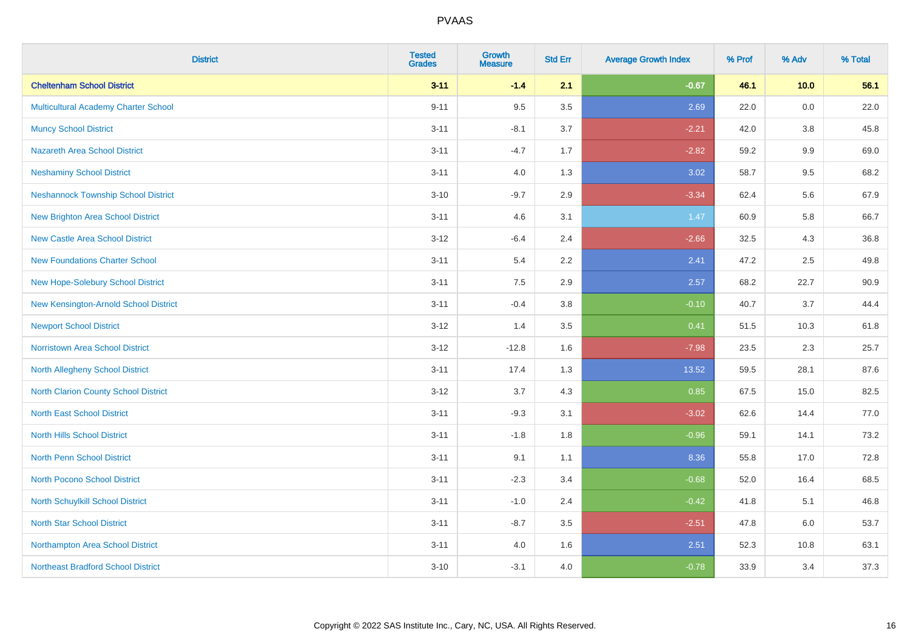| <b>District</b>                             | <b>Tested</b><br><b>Grades</b> | <b>Growth</b><br><b>Measure</b> | <b>Std Err</b> | <b>Average Growth Index</b> | % Prof | % Adv   | % Total |
|---------------------------------------------|--------------------------------|---------------------------------|----------------|-----------------------------|--------|---------|---------|
| <b>Cheltenham School District</b>           | $3 - 11$                       | $-1.4$                          | 2.1            | $-0.67$                     | 46.1   | 10.0    | 56.1    |
| Multicultural Academy Charter School        | $9 - 11$                       | 9.5                             | 3.5            | 2.69                        | 22.0   | 0.0     | 22.0    |
| <b>Muncy School District</b>                | $3 - 11$                       | $-8.1$                          | 3.7            | $-2.21$                     | 42.0   | 3.8     | 45.8    |
| <b>Nazareth Area School District</b>        | $3 - 11$                       | $-4.7$                          | 1.7            | $-2.82$                     | 59.2   | 9.9     | 69.0    |
| <b>Neshaminy School District</b>            | $3 - 11$                       | 4.0                             | 1.3            | 3.02                        | 58.7   | 9.5     | 68.2    |
| <b>Neshannock Township School District</b>  | $3 - 10$                       | $-9.7$                          | 2.9            | $-3.34$                     | 62.4   | 5.6     | 67.9    |
| <b>New Brighton Area School District</b>    | $3 - 11$                       | 4.6                             | 3.1            | 1.47                        | 60.9   | 5.8     | 66.7    |
| <b>New Castle Area School District</b>      | $3-12$                         | $-6.4$                          | 2.4            | $-2.66$                     | 32.5   | 4.3     | 36.8    |
| <b>New Foundations Charter School</b>       | $3 - 11$                       | 5.4                             | 2.2            | 2.41                        | 47.2   | 2.5     | 49.8    |
| New Hope-Solebury School District           | $3 - 11$                       | 7.5                             | 2.9            | 2.57                        | 68.2   | 22.7    | 90.9    |
| New Kensington-Arnold School District       | $3 - 11$                       | $-0.4$                          | 3.8            | $-0.10$                     | 40.7   | 3.7     | 44.4    |
| <b>Newport School District</b>              | $3 - 12$                       | 1.4                             | 3.5            | 0.41                        | 51.5   | 10.3    | 61.8    |
| <b>Norristown Area School District</b>      | $3 - 12$                       | $-12.8$                         | 1.6            | $-7.98$                     | 23.5   | $2.3\,$ | 25.7    |
| North Allegheny School District             | $3 - 11$                       | 17.4                            | 1.3            | 13.52                       | 59.5   | 28.1    | 87.6    |
| <b>North Clarion County School District</b> | $3 - 12$                       | 3.7                             | 4.3            | 0.85                        | 67.5   | 15.0    | 82.5    |
| <b>North East School District</b>           | $3 - 11$                       | $-9.3$                          | 3.1            | $-3.02$                     | 62.6   | 14.4    | 77.0    |
| <b>North Hills School District</b>          | $3 - 11$                       | $-1.8$                          | 1.8            | $-0.96$                     | 59.1   | 14.1    | 73.2    |
| <b>North Penn School District</b>           | $3 - 11$                       | 9.1                             | 1.1            | 8.36                        | 55.8   | 17.0    | 72.8    |
| <b>North Pocono School District</b>         | $3 - 11$                       | $-2.3$                          | 3.4            | $-0.68$                     | 52.0   | 16.4    | 68.5    |
| <b>North Schuylkill School District</b>     | $3 - 11$                       | $-1.0$                          | 2.4            | $-0.42$                     | 41.8   | 5.1     | 46.8    |
| <b>North Star School District</b>           | $3 - 11$                       | $-8.7$                          | 3.5            | $-2.51$                     | 47.8   | 6.0     | 53.7    |
| Northampton Area School District            | $3 - 11$                       | 4.0                             | 1.6            | 2.51                        | 52.3   | 10.8    | 63.1    |
| <b>Northeast Bradford School District</b>   | $3 - 10$                       | $-3.1$                          | 4.0            | $-0.78$                     | 33.9   | 3.4     | 37.3    |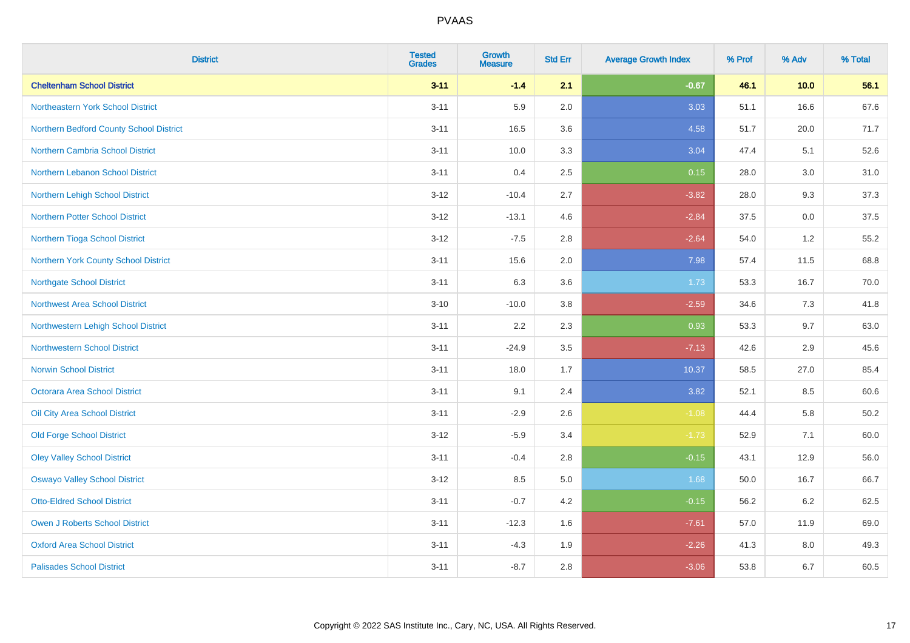| <b>District</b>                         | <b>Tested</b><br><b>Grades</b> | <b>Growth</b><br><b>Measure</b> | <b>Std Err</b> | <b>Average Growth Index</b> | % Prof | % Adv | % Total  |
|-----------------------------------------|--------------------------------|---------------------------------|----------------|-----------------------------|--------|-------|----------|
| <b>Cheltenham School District</b>       | $3 - 11$                       | $-1.4$                          | 2.1            | $-0.67$                     | 46.1   | 10.0  | 56.1     |
| Northeastern York School District       | $3 - 11$                       | 5.9                             | 2.0            | 3.03                        | 51.1   | 16.6  | 67.6     |
| Northern Bedford County School District | $3 - 11$                       | 16.5                            | 3.6            | 4.58                        | 51.7   | 20.0  | 71.7     |
| <b>Northern Cambria School District</b> | $3 - 11$                       | 10.0                            | 3.3            | 3.04                        | 47.4   | 5.1   | 52.6     |
| Northern Lebanon School District        | $3 - 11$                       | 0.4                             | 2.5            | 0.15                        | 28.0   | 3.0   | 31.0     |
| Northern Lehigh School District         | $3 - 12$                       | $-10.4$                         | 2.7            | $-3.82$                     | 28.0   | 9.3   | 37.3     |
| <b>Northern Potter School District</b>  | $3 - 12$                       | $-13.1$                         | 4.6            | $-2.84$                     | 37.5   | 0.0   | 37.5     |
| Northern Tioga School District          | $3 - 12$                       | $-7.5$                          | 2.8            | $-2.64$                     | 54.0   | 1.2   | 55.2     |
| Northern York County School District    | $3 - 11$                       | 15.6                            | 2.0            | 7.98                        | 57.4   | 11.5  | 68.8     |
| <b>Northgate School District</b>        | $3 - 11$                       | 6.3                             | 3.6            | 1.73                        | 53.3   | 16.7  | 70.0     |
| <b>Northwest Area School District</b>   | $3 - 10$                       | $-10.0$                         | 3.8            | $-2.59$                     | 34.6   | 7.3   | 41.8     |
| Northwestern Lehigh School District     | $3 - 11$                       | 2.2                             | 2.3            | 0.93                        | 53.3   | 9.7   | 63.0     |
| <b>Northwestern School District</b>     | $3 - 11$                       | $-24.9$                         | 3.5            | $-7.13$                     | 42.6   | 2.9   | 45.6     |
| <b>Norwin School District</b>           | $3 - 11$                       | 18.0                            | 1.7            | 10.37                       | 58.5   | 27.0  | 85.4     |
| Octorara Area School District           | $3 - 11$                       | 9.1                             | 2.4            | 3.82                        | 52.1   | 8.5   | 60.6     |
| Oil City Area School District           | $3 - 11$                       | $-2.9$                          | 2.6            | $-1.08$                     | 44.4   | 5.8   | $50.2\,$ |
| <b>Old Forge School District</b>        | $3 - 12$                       | $-5.9$                          | 3.4            | $-1.73$                     | 52.9   | 7.1   | 60.0     |
| <b>Oley Valley School District</b>      | $3 - 11$                       | $-0.4$                          | 2.8            | $-0.15$                     | 43.1   | 12.9  | 56.0     |
| <b>Oswayo Valley School District</b>    | $3 - 12$                       | 8.5                             | 5.0            | 1.68                        | 50.0   | 16.7  | 66.7     |
| <b>Otto-Eldred School District</b>      | $3 - 11$                       | $-0.7$                          | 4.2            | $-0.15$                     | 56.2   | 6.2   | 62.5     |
| <b>Owen J Roberts School District</b>   | $3 - 11$                       | $-12.3$                         | 1.6            | $-7.61$                     | 57.0   | 11.9  | 69.0     |
| <b>Oxford Area School District</b>      | $3 - 11$                       | $-4.3$                          | 1.9            | $-2.26$                     | 41.3   | 8.0   | 49.3     |
| <b>Palisades School District</b>        | $3 - 11$                       | $-8.7$                          | 2.8            | $-3.06$                     | 53.8   | 6.7   | 60.5     |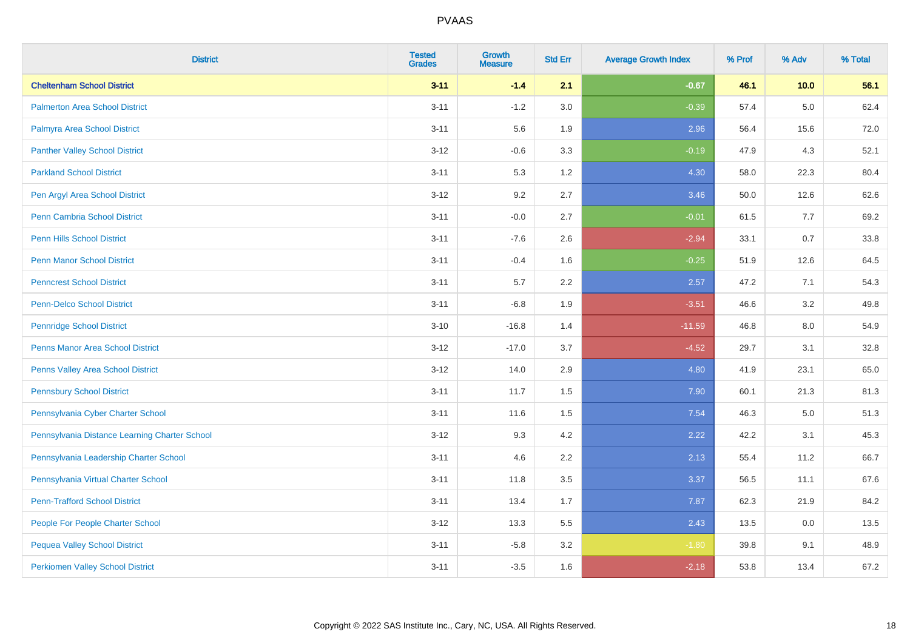| <b>District</b>                               | <b>Tested</b><br><b>Grades</b> | <b>Growth</b><br><b>Measure</b> | <b>Std Err</b> | <b>Average Growth Index</b> | % Prof | % Adv   | % Total |
|-----------------------------------------------|--------------------------------|---------------------------------|----------------|-----------------------------|--------|---------|---------|
| <b>Cheltenham School District</b>             | $3 - 11$                       | $-1.4$                          | 2.1            | $-0.67$                     | 46.1   | 10.0    | 56.1    |
| <b>Palmerton Area School District</b>         | $3 - 11$                       | $-1.2$                          | 3.0            | $-0.39$                     | 57.4   | 5.0     | 62.4    |
| Palmyra Area School District                  | $3 - 11$                       | 5.6                             | 1.9            | 2.96                        | 56.4   | 15.6    | 72.0    |
| <b>Panther Valley School District</b>         | $3 - 12$                       | $-0.6$                          | 3.3            | $-0.19$                     | 47.9   | 4.3     | 52.1    |
| <b>Parkland School District</b>               | $3 - 11$                       | 5.3                             | 1.2            | 4.30                        | 58.0   | 22.3    | 80.4    |
| Pen Argyl Area School District                | $3-12$                         | 9.2                             | 2.7            | 3.46                        | 50.0   | 12.6    | 62.6    |
| Penn Cambria School District                  | $3 - 11$                       | $-0.0$                          | 2.7            | $-0.01$                     | 61.5   | $7.7$   | 69.2    |
| <b>Penn Hills School District</b>             | $3 - 11$                       | $-7.6$                          | 2.6            | $-2.94$                     | 33.1   | 0.7     | 33.8    |
| <b>Penn Manor School District</b>             | $3 - 11$                       | $-0.4$                          | 1.6            | $-0.25$                     | 51.9   | 12.6    | 64.5    |
| <b>Penncrest School District</b>              | $3 - 11$                       | 5.7                             | 2.2            | 2.57                        | 47.2   | 7.1     | 54.3    |
| Penn-Delco School District                    | $3 - 11$                       | $-6.8$                          | 1.9            | $-3.51$                     | 46.6   | 3.2     | 49.8    |
| <b>Pennridge School District</b>              | $3 - 10$                       | $-16.8$                         | 1.4            | $-11.59$                    | 46.8   | 8.0     | 54.9    |
| <b>Penns Manor Area School District</b>       | $3-12$                         | $-17.0$                         | 3.7            | $-4.52$                     | 29.7   | 3.1     | 32.8    |
| Penns Valley Area School District             | $3-12$                         | 14.0                            | 2.9            | 4.80                        | 41.9   | 23.1    | 65.0    |
| <b>Pennsbury School District</b>              | $3 - 11$                       | 11.7                            | 1.5            | 7.90                        | 60.1   | 21.3    | 81.3    |
| Pennsylvania Cyber Charter School             | $3 - 11$                       | 11.6                            | 1.5            | 7.54                        | 46.3   | $5.0\,$ | 51.3    |
| Pennsylvania Distance Learning Charter School | $3-12$                         | 9.3                             | 4.2            | 2.22                        | 42.2   | 3.1     | 45.3    |
| Pennsylvania Leadership Charter School        | $3 - 11$                       | 4.6                             | 2.2            | 2.13                        | 55.4   | 11.2    | 66.7    |
| Pennsylvania Virtual Charter School           | $3 - 11$                       | 11.8                            | 3.5            | 3.37                        | 56.5   | 11.1    | 67.6    |
| <b>Penn-Trafford School District</b>          | $3 - 11$                       | 13.4                            | 1.7            | 7.87                        | 62.3   | 21.9    | 84.2    |
| People For People Charter School              | $3 - 12$                       | 13.3                            | 5.5            | 2.43                        | 13.5   | 0.0     | 13.5    |
| <b>Pequea Valley School District</b>          | $3 - 11$                       | $-5.8$                          | 3.2            | $-1.80$                     | 39.8   | 9.1     | 48.9    |
| <b>Perkiomen Valley School District</b>       | $3 - 11$                       | $-3.5$                          | 1.6            | $-2.18$                     | 53.8   | 13.4    | 67.2    |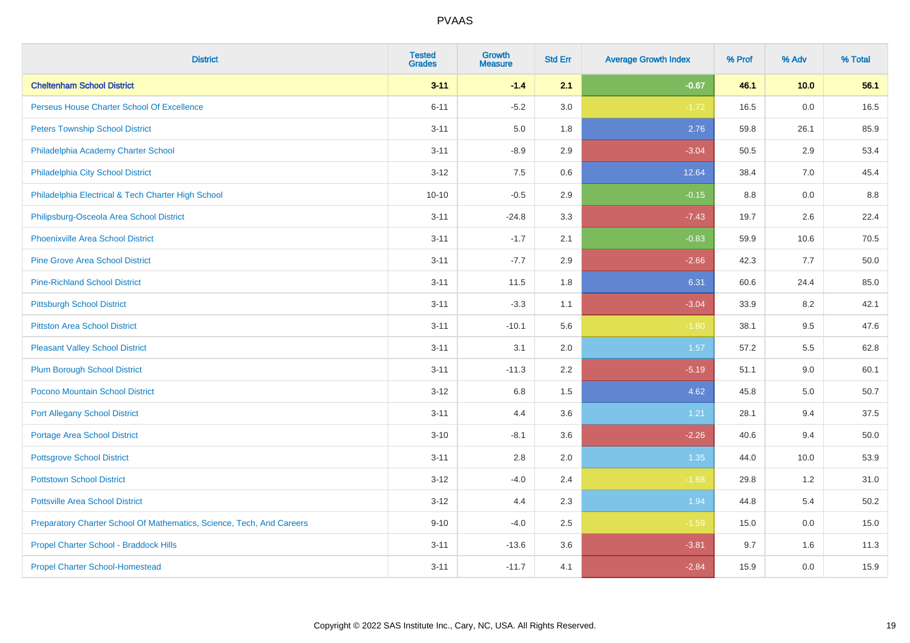| <b>District</b>                                                       | <b>Tested</b><br><b>Grades</b> | <b>Growth</b><br><b>Measure</b> | <b>Std Err</b> | <b>Average Growth Index</b> | % Prof | % Adv | % Total |
|-----------------------------------------------------------------------|--------------------------------|---------------------------------|----------------|-----------------------------|--------|-------|---------|
| <b>Cheltenham School District</b>                                     | $3 - 11$                       | $-1.4$                          | 2.1            | $-0.67$                     | 46.1   | 10.0  | 56.1    |
| Perseus House Charter School Of Excellence                            | $6 - 11$                       | $-5.2$                          | 3.0            | $-1.72$                     | 16.5   | 0.0   | 16.5    |
| <b>Peters Township School District</b>                                | $3 - 11$                       | 5.0                             | 1.8            | 2.76                        | 59.8   | 26.1  | 85.9    |
| Philadelphia Academy Charter School                                   | $3 - 11$                       | $-8.9$                          | 2.9            | $-3.04$                     | 50.5   | 2.9   | 53.4    |
| Philadelphia City School District                                     | $3 - 12$                       | 7.5                             | 0.6            | 12.64                       | 38.4   | 7.0   | 45.4    |
| Philadelphia Electrical & Tech Charter High School                    | $10 - 10$                      | $-0.5$                          | 2.9            | $-0.15$                     | 8.8    | 0.0   | 8.8     |
| Philipsburg-Osceola Area School District                              | $3 - 11$                       | $-24.8$                         | 3.3            | $-7.43$                     | 19.7   | 2.6   | 22.4    |
| <b>Phoenixville Area School District</b>                              | $3 - 11$                       | $-1.7$                          | 2.1            | $-0.83$                     | 59.9   | 10.6  | 70.5    |
| <b>Pine Grove Area School District</b>                                | $3 - 11$                       | $-7.7$                          | 2.9            | $-2.66$                     | 42.3   | 7.7   | 50.0    |
| <b>Pine-Richland School District</b>                                  | $3 - 11$                       | 11.5                            | 1.8            | 6.31                        | 60.6   | 24.4  | 85.0    |
| <b>Pittsburgh School District</b>                                     | $3 - 11$                       | $-3.3$                          | 1.1            | $-3.04$                     | 33.9   | 8.2   | 42.1    |
| <b>Pittston Area School District</b>                                  | $3 - 11$                       | $-10.1$                         | 5.6            | $-1.80$                     | 38.1   | 9.5   | 47.6    |
| <b>Pleasant Valley School District</b>                                | $3 - 11$                       | 3.1                             | 2.0            | 1.57                        | 57.2   | 5.5   | 62.8    |
| <b>Plum Borough School District</b>                                   | $3 - 11$                       | $-11.3$                         | 2.2            | $-5.19$                     | 51.1   | 9.0   | 60.1    |
| Pocono Mountain School District                                       | $3 - 12$                       | $6.8\,$                         | 1.5            | 4.62                        | 45.8   | 5.0   | 50.7    |
| <b>Port Allegany School District</b>                                  | $3 - 11$                       | 4.4                             | 3.6            | 1.21                        | 28.1   | 9.4   | 37.5    |
| <b>Portage Area School District</b>                                   | $3 - 10$                       | $-8.1$                          | 3.6            | $-2.26$                     | 40.6   | 9.4   | 50.0    |
| <b>Pottsgrove School District</b>                                     | $3 - 11$                       | 2.8                             | 2.0            | 1.35                        | 44.0   | 10.0  | 53.9    |
| <b>Pottstown School District</b>                                      | $3 - 12$                       | $-4.0$                          | 2.4            | $-1.68$                     | 29.8   | 1.2   | 31.0    |
| <b>Pottsville Area School District</b>                                | $3 - 12$                       | 4.4                             | 2.3            | 1.94                        | 44.8   | 5.4   | 50.2    |
| Preparatory Charter School Of Mathematics, Science, Tech, And Careers | $9 - 10$                       | $-4.0$                          | 2.5            | $-1.59$                     | 15.0   | 0.0   | 15.0    |
| Propel Charter School - Braddock Hills                                | $3 - 11$                       | $-13.6$                         | 3.6            | $-3.81$                     | 9.7    | 1.6   | 11.3    |
| <b>Propel Charter School-Homestead</b>                                | $3 - 11$                       | $-11.7$                         | 4.1            | $-2.84$                     | 15.9   | 0.0   | 15.9    |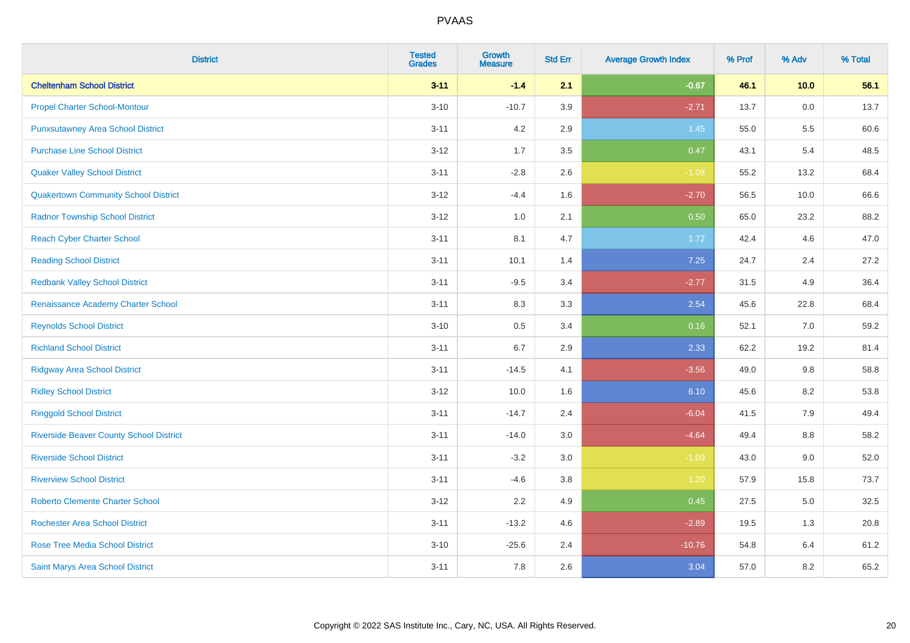| <b>District</b>                                | <b>Tested</b><br><b>Grades</b> | <b>Growth</b><br><b>Measure</b> | <b>Std Err</b> | <b>Average Growth Index</b> | % Prof | % Adv | % Total |
|------------------------------------------------|--------------------------------|---------------------------------|----------------|-----------------------------|--------|-------|---------|
| <b>Cheltenham School District</b>              | $3 - 11$                       | $-1.4$                          | 2.1            | $-0.67$                     | 46.1   | 10.0  | 56.1    |
| <b>Propel Charter School-Montour</b>           | $3 - 10$                       | $-10.7$                         | 3.9            | $-2.71$                     | 13.7   | 0.0   | 13.7    |
| <b>Punxsutawney Area School District</b>       | $3 - 11$                       | 4.2                             | 2.9            | 1.45                        | 55.0   | 5.5   | 60.6    |
| <b>Purchase Line School District</b>           | $3 - 12$                       | 1.7                             | 3.5            | 0.47                        | 43.1   | 5.4   | 48.5    |
| <b>Quaker Valley School District</b>           | $3 - 11$                       | $-2.8$                          | 2.6            | $-1.08$                     | 55.2   | 13.2  | 68.4    |
| <b>Quakertown Community School District</b>    | $3 - 12$                       | $-4.4$                          | 1.6            | $-2.70$                     | 56.5   | 10.0  | 66.6    |
| <b>Radnor Township School District</b>         | $3 - 12$                       | $1.0\,$                         | 2.1            | 0.50                        | 65.0   | 23.2  | 88.2    |
| <b>Reach Cyber Charter School</b>              | $3 - 11$                       | 8.1                             | 4.7            | 1.72                        | 42.4   | 4.6   | 47.0    |
| <b>Reading School District</b>                 | $3 - 11$                       | 10.1                            | 1.4            | 7.25                        | 24.7   | 2.4   | 27.2    |
| <b>Redbank Valley School District</b>          | $3 - 11$                       | $-9.5$                          | 3.4            | $-2.77$                     | 31.5   | 4.9   | 36.4    |
| Renaissance Academy Charter School             | $3 - 11$                       | 8.3                             | 3.3            | 2.54                        | 45.6   | 22.8  | 68.4    |
| <b>Reynolds School District</b>                | $3 - 10$                       | 0.5                             | 3.4            | 0.16                        | 52.1   | 7.0   | 59.2    |
| <b>Richland School District</b>                | $3 - 11$                       | 6.7                             | 2.9            | 2.33                        | 62.2   | 19.2  | 81.4    |
| <b>Ridgway Area School District</b>            | $3 - 11$                       | $-14.5$                         | 4.1            | $-3.56$                     | 49.0   | 9.8   | 58.8    |
| <b>Ridley School District</b>                  | $3 - 12$                       | 10.0                            | 1.6            | 6.10                        | 45.6   | 8.2   | 53.8    |
| <b>Ringgold School District</b>                | $3 - 11$                       | $-14.7$                         | 2.4            | $-6.04$                     | 41.5   | 7.9   | 49.4    |
| <b>Riverside Beaver County School District</b> | $3 - 11$                       | $-14.0$                         | 3.0            | $-4.64$                     | 49.4   | 8.8   | 58.2    |
| <b>Riverside School District</b>               | $3 - 11$                       | $-3.2$                          | 3.0            | $-1.09$                     | 43.0   | 9.0   | 52.0    |
| <b>Riverview School District</b>               | $3 - 11$                       | $-4.6$                          | 3.8            | $-1.20$                     | 57.9   | 15.8  | 73.7    |
| <b>Roberto Clemente Charter School</b>         | $3 - 12$                       | 2.2                             | 4.9            | 0.45                        | 27.5   | 5.0   | 32.5    |
| <b>Rochester Area School District</b>          | $3 - 11$                       | $-13.2$                         | 4.6            | $-2.89$                     | 19.5   | 1.3   | 20.8    |
| <b>Rose Tree Media School District</b>         | $3 - 10$                       | $-25.6$                         | 2.4            | $-10.76$                    | 54.8   | 6.4   | 61.2    |
| Saint Marys Area School District               | $3 - 11$                       | 7.8                             | 2.6            | 3.04                        | 57.0   | 8.2   | 65.2    |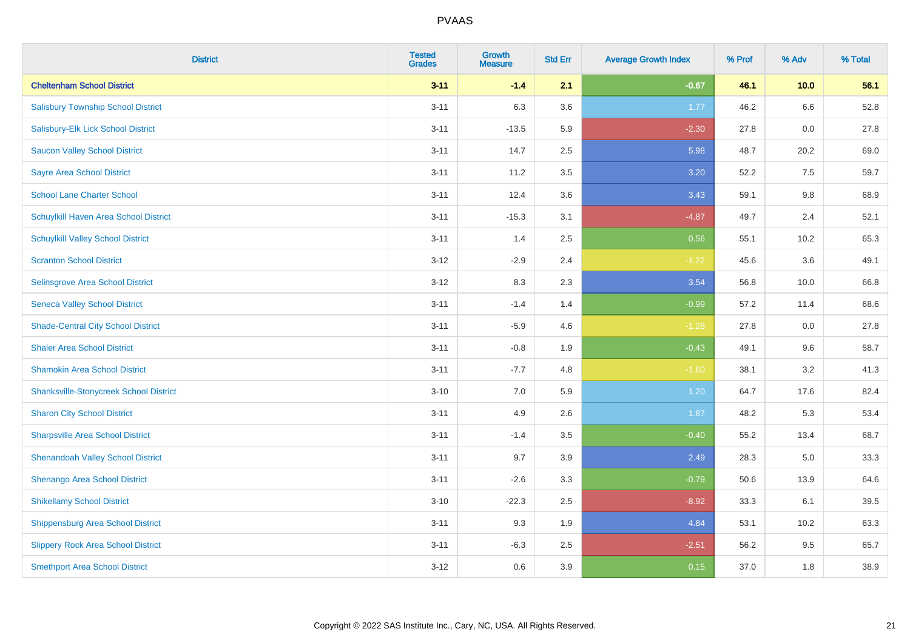| <b>District</b>                               | <b>Tested</b><br><b>Grades</b> | <b>Growth</b><br><b>Measure</b> | <b>Std Err</b> | <b>Average Growth Index</b> | % Prof | % Adv | % Total |
|-----------------------------------------------|--------------------------------|---------------------------------|----------------|-----------------------------|--------|-------|---------|
| <b>Cheltenham School District</b>             | $3 - 11$                       | $-1.4$                          | 2.1            | $-0.67$                     | 46.1   | 10.0  | 56.1    |
| <b>Salisbury Township School District</b>     | $3 - 11$                       | 6.3                             | 3.6            | 1.77                        | 46.2   | 6.6   | 52.8    |
| Salisbury-Elk Lick School District            | $3 - 11$                       | $-13.5$                         | 5.9            | $-2.30$                     | 27.8   | 0.0   | 27.8    |
| <b>Saucon Valley School District</b>          | $3 - 11$                       | 14.7                            | 2.5            | 5.98                        | 48.7   | 20.2  | 69.0    |
| <b>Sayre Area School District</b>             | $3 - 11$                       | 11.2                            | 3.5            | 3.20                        | 52.2   | 7.5   | 59.7    |
| <b>School Lane Charter School</b>             | $3 - 11$                       | 12.4                            | 3.6            | 3.43                        | 59.1   | 9.8   | 68.9    |
| Schuylkill Haven Area School District         | $3 - 11$                       | $-15.3$                         | 3.1            | $-4.87$                     | 49.7   | 2.4   | 52.1    |
| <b>Schuylkill Valley School District</b>      | $3 - 11$                       | 1.4                             | 2.5            | 0.56                        | 55.1   | 10.2  | 65.3    |
| <b>Scranton School District</b>               | $3 - 12$                       | $-2.9$                          | 2.4            | $-1.22$                     | 45.6   | 3.6   | 49.1    |
| <b>Selinsgrove Area School District</b>       | $3 - 12$                       | 8.3                             | 2.3            | 3.54                        | 56.8   | 10.0  | 66.8    |
| <b>Seneca Valley School District</b>          | $3 - 11$                       | $-1.4$                          | 1.4            | $-0.99$                     | 57.2   | 11.4  | 68.6    |
| <b>Shade-Central City School District</b>     | $3 - 11$                       | $-5.9$                          | 4.6            | $-1.28$                     | 27.8   | 0.0   | 27.8    |
| <b>Shaler Area School District</b>            | $3 - 11$                       | $-0.8$                          | 1.9            | $-0.43$                     | 49.1   | 9.6   | 58.7    |
| <b>Shamokin Area School District</b>          | $3 - 11$                       | $-7.7$                          | 4.8            | $-1.60$                     | 38.1   | 3.2   | 41.3    |
| <b>Shanksville-Stonycreek School District</b> | $3 - 10$                       | $7.0\,$                         | 5.9            | 1.20                        | 64.7   | 17.6  | 82.4    |
| <b>Sharon City School District</b>            | $3 - 11$                       | 4.9                             | 2.6            | 1.87                        | 48.2   | 5.3   | 53.4    |
| <b>Sharpsville Area School District</b>       | $3 - 11$                       | $-1.4$                          | 3.5            | $-0.40$                     | 55.2   | 13.4  | 68.7    |
| <b>Shenandoah Valley School District</b>      | $3 - 11$                       | 9.7                             | 3.9            | 2.49                        | 28.3   | 5.0   | 33.3    |
| Shenango Area School District                 | $3 - 11$                       | $-2.6$                          | 3.3            | $-0.79$                     | 50.6   | 13.9  | 64.6    |
| <b>Shikellamy School District</b>             | $3 - 10$                       | $-22.3$                         | 2.5            | $-8.92$                     | 33.3   | 6.1   | 39.5    |
| <b>Shippensburg Area School District</b>      | $3 - 11$                       | 9.3                             | 1.9            | 4.84                        | 53.1   | 10.2  | 63.3    |
| <b>Slippery Rock Area School District</b>     | $3 - 11$                       | $-6.3$                          | 2.5            | $-2.51$                     | 56.2   | 9.5   | 65.7    |
| <b>Smethport Area School District</b>         | $3-12$                         | 0.6                             | 3.9            | 0.15                        | 37.0   | 1.8   | 38.9    |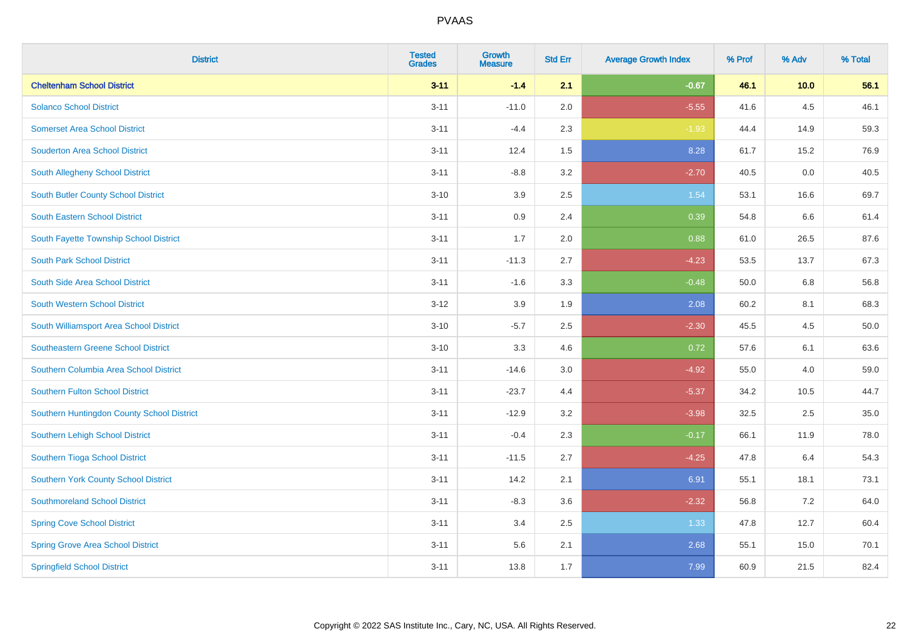| <b>District</b>                            | <b>Tested</b><br><b>Grades</b> | <b>Growth</b><br><b>Measure</b> | <b>Std Err</b> | <b>Average Growth Index</b> | % Prof | % Adv   | % Total |
|--------------------------------------------|--------------------------------|---------------------------------|----------------|-----------------------------|--------|---------|---------|
| <b>Cheltenham School District</b>          | $3 - 11$                       | $-1.4$                          | 2.1            | $-0.67$                     | 46.1   | 10.0    | 56.1    |
| <b>Solanco School District</b>             | $3 - 11$                       | $-11.0$                         | 2.0            | $-5.55$                     | 41.6   | $4.5\,$ | 46.1    |
| <b>Somerset Area School District</b>       | $3 - 11$                       | $-4.4$                          | 2.3            | $-1.93$                     | 44.4   | 14.9    | 59.3    |
| <b>Souderton Area School District</b>      | $3 - 11$                       | 12.4                            | 1.5            | 8.28                        | 61.7   | 15.2    | 76.9    |
| South Allegheny School District            | $3 - 11$                       | $-8.8$                          | 3.2            | $-2.70$                     | 40.5   | 0.0     | 40.5    |
| South Butler County School District        | $3 - 10$                       | 3.9                             | 2.5            | 1.54                        | 53.1   | 16.6    | 69.7    |
| South Eastern School District              | $3 - 11$                       | 0.9                             | 2.4            | 0.39                        | 54.8   | 6.6     | 61.4    |
| South Fayette Township School District     | $3 - 11$                       | 1.7                             | 2.0            | 0.88                        | 61.0   | 26.5    | 87.6    |
| <b>South Park School District</b>          | $3 - 11$                       | $-11.3$                         | 2.7            | $-4.23$                     | 53.5   | 13.7    | 67.3    |
| South Side Area School District            | $3 - 11$                       | $-1.6$                          | 3.3            | $-0.48$                     | 50.0   | 6.8     | 56.8    |
| South Western School District              | $3-12$                         | 3.9                             | 1.9            | 2.08                        | 60.2   | 8.1     | 68.3    |
| South Williamsport Area School District    | $3 - 10$                       | $-5.7$                          | 2.5            | $-2.30$                     | 45.5   | 4.5     | 50.0    |
| <b>Southeastern Greene School District</b> | $3 - 10$                       | 3.3                             | 4.6            | 0.72                        | 57.6   | 6.1     | 63.6    |
| Southern Columbia Area School District     | $3 - 11$                       | $-14.6$                         | 3.0            | $-4.92$                     | 55.0   | 4.0     | 59.0    |
| <b>Southern Fulton School District</b>     | $3 - 11$                       | $-23.7$                         | 4.4            | $-5.37$                     | 34.2   | 10.5    | 44.7    |
| Southern Huntingdon County School District | $3 - 11$                       | $-12.9$                         | 3.2            | $-3.98$                     | 32.5   | 2.5     | 35.0    |
| Southern Lehigh School District            | $3 - 11$                       | $-0.4$                          | 2.3            | $-0.17$                     | 66.1   | 11.9    | 78.0    |
| Southern Tioga School District             | $3 - 11$                       | $-11.5$                         | 2.7            | $-4.25$                     | 47.8   | 6.4     | 54.3    |
| Southern York County School District       | $3 - 11$                       | 14.2                            | 2.1            | 6.91                        | 55.1   | 18.1    | 73.1    |
| <b>Southmoreland School District</b>       | $3 - 11$                       | $-8.3$                          | 3.6            | $-2.32$                     | 56.8   | 7.2     | 64.0    |
| <b>Spring Cove School District</b>         | $3 - 11$                       | 3.4                             | 2.5            | 1.33                        | 47.8   | 12.7    | 60.4    |
| <b>Spring Grove Area School District</b>   | $3 - 11$                       | 5.6                             | 2.1            | 2.68                        | 55.1   | 15.0    | 70.1    |
| <b>Springfield School District</b>         | $3 - 11$                       | 13.8                            | 1.7            | 7.99                        | 60.9   | 21.5    | 82.4    |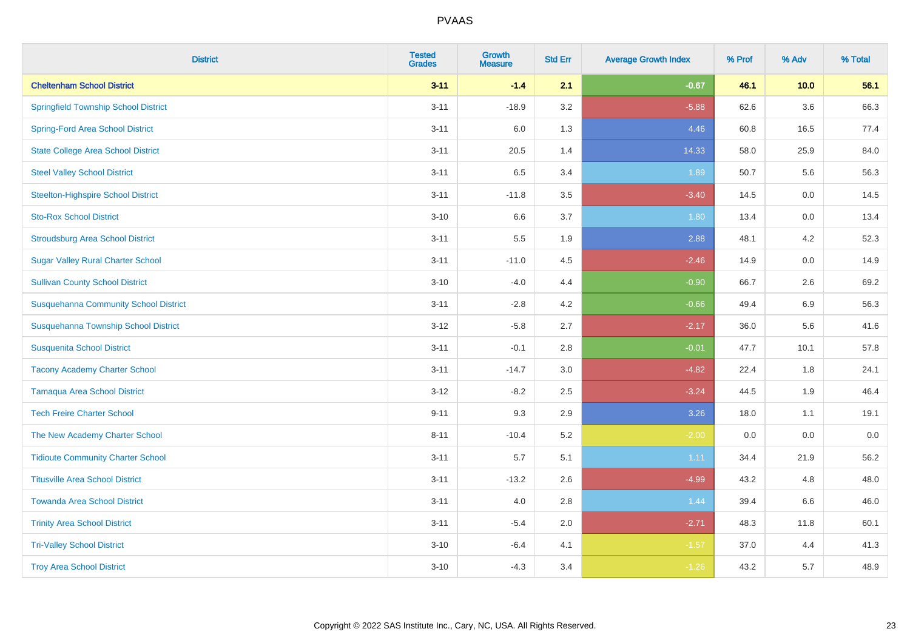| <b>District</b>                              | <b>Tested</b><br><b>Grades</b> | <b>Growth</b><br><b>Measure</b> | <b>Std Err</b> | <b>Average Growth Index</b> | % Prof | % Adv   | % Total |
|----------------------------------------------|--------------------------------|---------------------------------|----------------|-----------------------------|--------|---------|---------|
| <b>Cheltenham School District</b>            | $3 - 11$                       | $-1.4$                          | 2.1            | $-0.67$                     | 46.1   | 10.0    | 56.1    |
| <b>Springfield Township School District</b>  | $3 - 11$                       | $-18.9$                         | 3.2            | $-5.88$                     | 62.6   | $3.6\,$ | 66.3    |
| <b>Spring-Ford Area School District</b>      | $3 - 11$                       | 6.0                             | 1.3            | 4.46                        | 60.8   | 16.5    | 77.4    |
| <b>State College Area School District</b>    | $3 - 11$                       | 20.5                            | 1.4            | 14.33                       | 58.0   | 25.9    | 84.0    |
| <b>Steel Valley School District</b>          | $3 - 11$                       | 6.5                             | 3.4            | 1.89                        | 50.7   | 5.6     | 56.3    |
| <b>Steelton-Highspire School District</b>    | $3 - 11$                       | $-11.8$                         | 3.5            | $-3.40$                     | 14.5   | 0.0     | 14.5    |
| <b>Sto-Rox School District</b>               | $3 - 10$                       | 6.6                             | 3.7            | 1.80                        | 13.4   | 0.0     | 13.4    |
| <b>Stroudsburg Area School District</b>      | $3 - 11$                       | 5.5                             | 1.9            | 2.88                        | 48.1   | 4.2     | 52.3    |
| <b>Sugar Valley Rural Charter School</b>     | $3 - 11$                       | $-11.0$                         | 4.5            | $-2.46$                     | 14.9   | 0.0     | 14.9    |
| <b>Sullivan County School District</b>       | $3 - 10$                       | $-4.0$                          | 4.4            | $-0.90$                     | 66.7   | $2.6\,$ | 69.2    |
| <b>Susquehanna Community School District</b> | $3 - 11$                       | $-2.8$                          | 4.2            | $-0.66$                     | 49.4   | 6.9     | 56.3    |
| Susquehanna Township School District         | $3 - 12$                       | $-5.8$                          | 2.7            | $-2.17$                     | 36.0   | 5.6     | 41.6    |
| <b>Susquenita School District</b>            | $3 - 11$                       | $-0.1$                          | 2.8            | $-0.01$                     | 47.7   | 10.1    | 57.8    |
| <b>Tacony Academy Charter School</b>         | $3 - 11$                       | $-14.7$                         | 3.0            | $-4.82$                     | 22.4   | 1.8     | 24.1    |
| <b>Tamaqua Area School District</b>          | $3 - 12$                       | $-8.2$                          | 2.5            | $-3.24$                     | 44.5   | 1.9     | 46.4    |
| <b>Tech Freire Charter School</b>            | $9 - 11$                       | 9.3                             | 2.9            | 3.26                        | 18.0   | 1.1     | 19.1    |
| The New Academy Charter School               | $8 - 11$                       | $-10.4$                         | 5.2            | $-2.00$                     | 0.0    | 0.0     | $0.0\,$ |
| <b>Tidioute Community Charter School</b>     | $3 - 11$                       | 5.7                             | 5.1            | 1.11                        | 34.4   | 21.9    | 56.2    |
| <b>Titusville Area School District</b>       | $3 - 11$                       | $-13.2$                         | 2.6            | $-4.99$                     | 43.2   | 4.8     | 48.0    |
| <b>Towanda Area School District</b>          | $3 - 11$                       | 4.0                             | 2.8            | 1.44                        | 39.4   | 6.6     | 46.0    |
| <b>Trinity Area School District</b>          | $3 - 11$                       | $-5.4$                          | 2.0            | $-2.71$                     | 48.3   | 11.8    | 60.1    |
| <b>Tri-Valley School District</b>            | $3 - 10$                       | $-6.4$                          | 4.1            | $-1.57$                     | 37.0   | 4.4     | 41.3    |
| <b>Troy Area School District</b>             | $3 - 10$                       | $-4.3$                          | 3.4            | $-1.26$                     | 43.2   | 5.7     | 48.9    |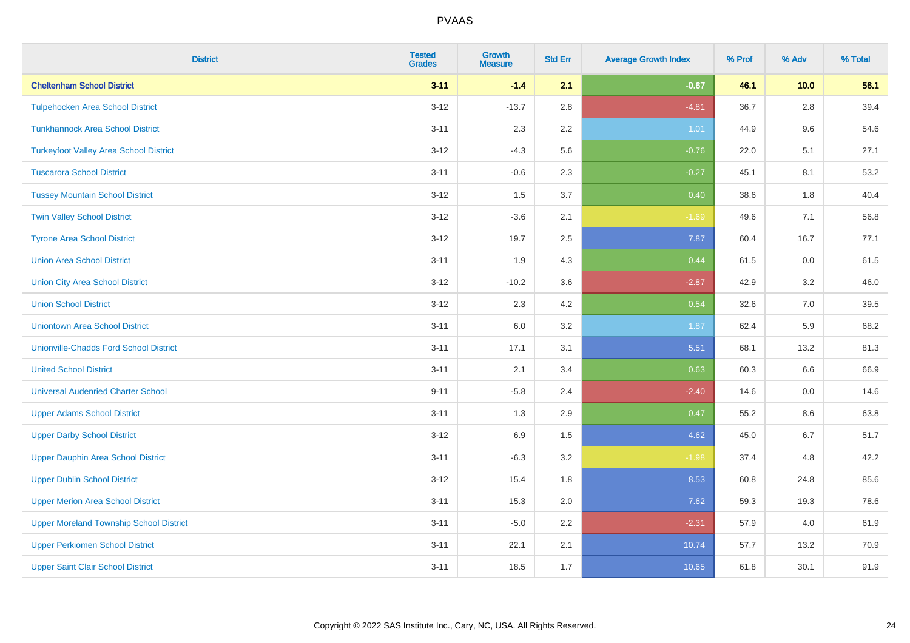| <b>District</b>                                | <b>Tested</b><br><b>Grades</b> | <b>Growth</b><br><b>Measure</b> | <b>Std Err</b> | <b>Average Growth Index</b> | % Prof | % Adv   | % Total |
|------------------------------------------------|--------------------------------|---------------------------------|----------------|-----------------------------|--------|---------|---------|
| <b>Cheltenham School District</b>              | $3 - 11$                       | $-1.4$                          | 2.1            | $-0.67$                     | 46.1   | 10.0    | 56.1    |
| <b>Tulpehocken Area School District</b>        | $3 - 12$                       | $-13.7$                         | 2.8            | $-4.81$                     | 36.7   | $2.8\,$ | 39.4    |
| <b>Tunkhannock Area School District</b>        | $3 - 11$                       | 2.3                             | 2.2            | 1.01                        | 44.9   | 9.6     | 54.6    |
| <b>Turkeyfoot Valley Area School District</b>  | $3 - 12$                       | $-4.3$                          | 5.6            | $-0.76$                     | 22.0   | 5.1     | 27.1    |
| <b>Tuscarora School District</b>               | $3 - 11$                       | $-0.6$                          | 2.3            | $-0.27$                     | 45.1   | 8.1     | 53.2    |
| <b>Tussey Mountain School District</b>         | $3 - 12$                       | 1.5                             | 3.7            | 0.40                        | 38.6   | 1.8     | 40.4    |
| <b>Twin Valley School District</b>             | $3 - 12$                       | $-3.6$                          | 2.1            | $-1.69$                     | 49.6   | 7.1     | 56.8    |
| <b>Tyrone Area School District</b>             | $3 - 12$                       | 19.7                            | 2.5            | 7.87                        | 60.4   | 16.7    | 77.1    |
| <b>Union Area School District</b>              | $3 - 11$                       | 1.9                             | 4.3            | 0.44                        | 61.5   | 0.0     | 61.5    |
| <b>Union City Area School District</b>         | $3 - 12$                       | $-10.2$                         | 3.6            | $-2.87$                     | 42.9   | 3.2     | 46.0    |
| <b>Union School District</b>                   | $3 - 12$                       | 2.3                             | 4.2            | 0.54                        | 32.6   | 7.0     | 39.5    |
| <b>Uniontown Area School District</b>          | $3 - 11$                       | 6.0                             | 3.2            | 1.87                        | 62.4   | 5.9     | 68.2    |
| <b>Unionville-Chadds Ford School District</b>  | $3 - 11$                       | 17.1                            | 3.1            | 5.51                        | 68.1   | 13.2    | 81.3    |
| <b>United School District</b>                  | $3 - 11$                       | 2.1                             | 3.4            | 0.63                        | 60.3   | 6.6     | 66.9    |
| <b>Universal Audenried Charter School</b>      | $9 - 11$                       | $-5.8$                          | 2.4            | $-2.40$                     | 14.6   | 0.0     | 14.6    |
| <b>Upper Adams School District</b>             | $3 - 11$                       | 1.3                             | 2.9            | 0.47                        | 55.2   | $8.6\,$ | 63.8    |
| <b>Upper Darby School District</b>             | $3 - 12$                       | 6.9                             | 1.5            | 4.62                        | 45.0   | 6.7     | 51.7    |
| <b>Upper Dauphin Area School District</b>      | $3 - 11$                       | $-6.3$                          | 3.2            | $-1.98$                     | 37.4   | 4.8     | 42.2    |
| <b>Upper Dublin School District</b>            | $3 - 12$                       | 15.4                            | 1.8            | 8.53                        | 60.8   | 24.8    | 85.6    |
| <b>Upper Merion Area School District</b>       | $3 - 11$                       | 15.3                            | 2.0            | 7.62                        | 59.3   | 19.3    | 78.6    |
| <b>Upper Moreland Township School District</b> | $3 - 11$                       | $-5.0$                          | 2.2            | $-2.31$                     | 57.9   | 4.0     | 61.9    |
| <b>Upper Perkiomen School District</b>         | $3 - 11$                       | 22.1                            | 2.1            | 10.74                       | 57.7   | 13.2    | 70.9    |
| <b>Upper Saint Clair School District</b>       | $3 - 11$                       | 18.5                            | 1.7            | 10.65                       | 61.8   | 30.1    | 91.9    |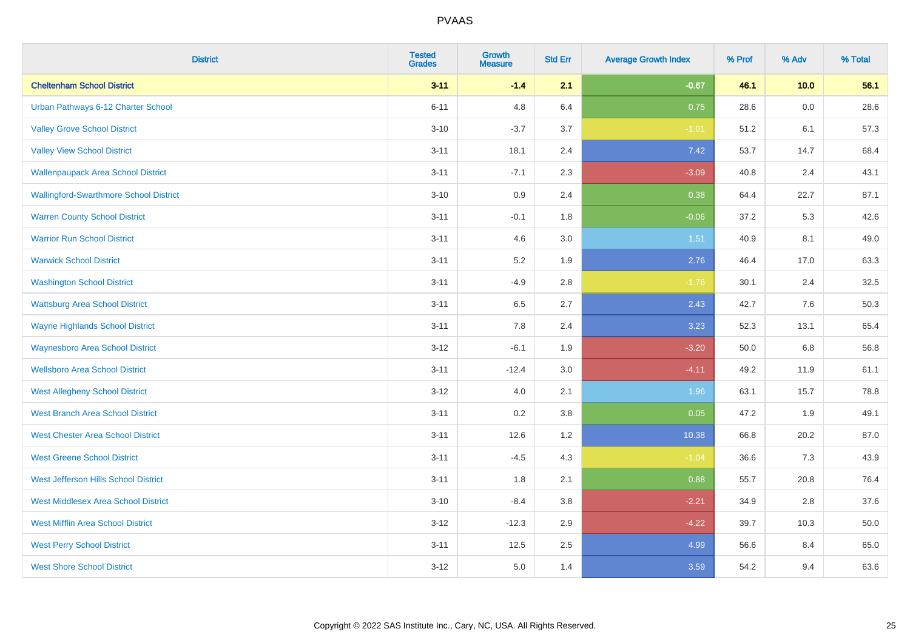| <b>District</b>                               | <b>Tested</b><br><b>Grades</b> | <b>Growth</b><br><b>Measure</b> | <b>Std Err</b> | <b>Average Growth Index</b> | % Prof | % Adv | % Total |
|-----------------------------------------------|--------------------------------|---------------------------------|----------------|-----------------------------|--------|-------|---------|
| <b>Cheltenham School District</b>             | $3 - 11$                       | $-1.4$                          | 2.1            | $-0.67$                     | 46.1   | 10.0  | 56.1    |
| Urban Pathways 6-12 Charter School            | $6 - 11$                       | 4.8                             | 6.4            | 0.75                        | 28.6   | 0.0   | 28.6    |
| <b>Valley Grove School District</b>           | $3 - 10$                       | $-3.7$                          | 3.7            | $-1.01$                     | 51.2   | 6.1   | 57.3    |
| <b>Valley View School District</b>            | $3 - 11$                       | 18.1                            | 2.4            | 7.42                        | 53.7   | 14.7  | 68.4    |
| <b>Wallenpaupack Area School District</b>     | $3 - 11$                       | $-7.1$                          | 2.3            | $-3.09$                     | 40.8   | 2.4   | 43.1    |
| <b>Wallingford-Swarthmore School District</b> | $3 - 10$                       | 0.9                             | 2.4            | 0.38                        | 64.4   | 22.7  | 87.1    |
| <b>Warren County School District</b>          | $3 - 11$                       | $-0.1$                          | 1.8            | $-0.06$                     | 37.2   | 5.3   | 42.6    |
| <b>Warrior Run School District</b>            | $3 - 11$                       | 4.6                             | 3.0            | 1.51                        | 40.9   | 8.1   | 49.0    |
| <b>Warwick School District</b>                | $3 - 11$                       | 5.2                             | 1.9            | 2.76                        | 46.4   | 17.0  | 63.3    |
| <b>Washington School District</b>             | $3 - 11$                       | $-4.9$                          | 2.8            | $-1.76$                     | 30.1   | 2.4   | 32.5    |
| <b>Wattsburg Area School District</b>         | $3 - 11$                       | 6.5                             | 2.7            | 2.43                        | 42.7   | 7.6   | 50.3    |
| <b>Wayne Highlands School District</b>        | $3 - 11$                       | 7.8                             | 2.4            | 3.23                        | 52.3   | 13.1  | 65.4    |
| <b>Waynesboro Area School District</b>        | $3 - 12$                       | $-6.1$                          | 1.9            | $-3.20$                     | 50.0   | 6.8   | 56.8    |
| <b>Wellsboro Area School District</b>         | $3 - 11$                       | $-12.4$                         | 3.0            | $-4.11$                     | 49.2   | 11.9  | 61.1    |
| <b>West Allegheny School District</b>         | $3 - 12$                       | 4.0                             | 2.1            | 1.96                        | 63.1   | 15.7  | 78.8    |
| <b>West Branch Area School District</b>       | $3 - 11$                       | 0.2                             | 3.8            | 0.05                        | 47.2   | 1.9   | 49.1    |
| <b>West Chester Area School District</b>      | $3 - 11$                       | 12.6                            | 1.2            | 10.38                       | 66.8   | 20.2  | 87.0    |
| <b>West Greene School District</b>            | $3 - 11$                       | $-4.5$                          | 4.3            | $-1.04$                     | 36.6   | 7.3   | 43.9    |
| West Jefferson Hills School District          | $3 - 11$                       | 1.8                             | 2.1            | 0.88                        | 55.7   | 20.8  | 76.4    |
| <b>West Middlesex Area School District</b>    | $3 - 10$                       | $-8.4$                          | 3.8            | $-2.21$                     | 34.9   | 2.8   | 37.6    |
| <b>West Mifflin Area School District</b>      | $3 - 12$                       | $-12.3$                         | 2.9            | $-4.22$                     | 39.7   | 10.3  | 50.0    |
| <b>West Perry School District</b>             | $3 - 11$                       | 12.5                            | 2.5            | 4.99                        | 56.6   | 8.4   | 65.0    |
| <b>West Shore School District</b>             | $3-12$                         | 5.0                             | 1.4            | 3.59                        | 54.2   | 9.4   | 63.6    |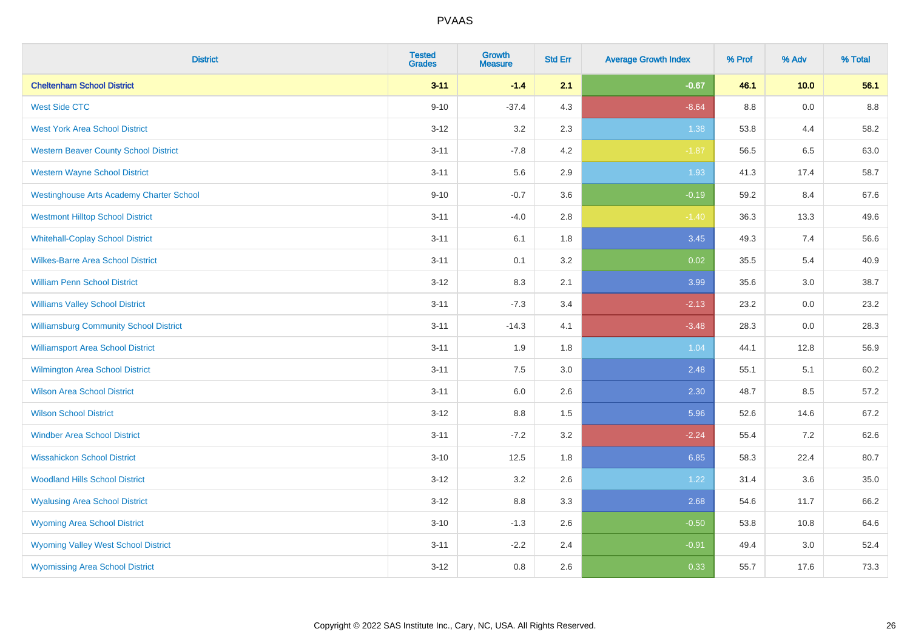| <b>District</b>                                 | <b>Tested</b><br><b>Grades</b> | <b>Growth</b><br><b>Measure</b> | <b>Std Err</b> | <b>Average Growth Index</b> | % Prof | % Adv | % Total |
|-------------------------------------------------|--------------------------------|---------------------------------|----------------|-----------------------------|--------|-------|---------|
| <b>Cheltenham School District</b>               | $3 - 11$                       | $-1.4$                          | 2.1            | $-0.67$                     | 46.1   | 10.0  | 56.1    |
| <b>West Side CTC</b>                            | $9 - 10$                       | $-37.4$                         | 4.3            | $-8.64$                     | 8.8    | 0.0   | 8.8     |
| <b>West York Area School District</b>           | $3 - 12$                       | 3.2                             | 2.3            | 1.38                        | 53.8   | 4.4   | 58.2    |
| <b>Western Beaver County School District</b>    | $3 - 11$                       | $-7.8$                          | 4.2            | $-1.87$                     | 56.5   | 6.5   | 63.0    |
| <b>Western Wayne School District</b>            | $3 - 11$                       | 5.6                             | 2.9            | 1.93                        | 41.3   | 17.4  | 58.7    |
| <b>Westinghouse Arts Academy Charter School</b> | $9 - 10$                       | $-0.7$                          | 3.6            | $-0.19$                     | 59.2   | 8.4   | 67.6    |
| <b>Westmont Hilltop School District</b>         | $3 - 11$                       | $-4.0$                          | 2.8            | $-1.40$                     | 36.3   | 13.3  | 49.6    |
| <b>Whitehall-Coplay School District</b>         | $3 - 11$                       | 6.1                             | 1.8            | 3.45                        | 49.3   | 7.4   | 56.6    |
| <b>Wilkes-Barre Area School District</b>        | $3 - 11$                       | 0.1                             | 3.2            | 0.02                        | 35.5   | 5.4   | 40.9    |
| <b>William Penn School District</b>             | $3-12$                         | 8.3                             | 2.1            | 3.99                        | 35.6   | 3.0   | 38.7    |
| <b>Williams Valley School District</b>          | $3 - 11$                       | $-7.3$                          | 3.4            | $-2.13$                     | 23.2   | 0.0   | 23.2    |
| <b>Williamsburg Community School District</b>   | $3 - 11$                       | $-14.3$                         | 4.1            | $-3.48$                     | 28.3   | 0.0   | 28.3    |
| <b>Williamsport Area School District</b>        | $3 - 11$                       | 1.9                             | 1.8            | 1.04                        | 44.1   | 12.8  | 56.9    |
| <b>Wilmington Area School District</b>          | $3 - 11$                       | 7.5                             | 3.0            | 2.48                        | 55.1   | 5.1   | 60.2    |
| <b>Wilson Area School District</b>              | $3 - 11$                       | 6.0                             | 2.6            | 2.30                        | 48.7   | 8.5   | 57.2    |
| <b>Wilson School District</b>                   | $3 - 12$                       | $8.8\,$                         | 1.5            | 5.96                        | 52.6   | 14.6  | 67.2    |
| <b>Windber Area School District</b>             | $3 - 11$                       | $-7.2$                          | 3.2            | $-2.24$                     | 55.4   | 7.2   | 62.6    |
| <b>Wissahickon School District</b>              | $3 - 10$                       | 12.5                            | 1.8            | 6.85                        | 58.3   | 22.4  | 80.7    |
| <b>Woodland Hills School District</b>           | $3 - 12$                       | 3.2                             | 2.6            | 1.22                        | 31.4   | 3.6   | 35.0    |
| <b>Wyalusing Area School District</b>           | $3 - 12$                       | 8.8                             | 3.3            | 2.68                        | 54.6   | 11.7  | 66.2    |
| <b>Wyoming Area School District</b>             | $3 - 10$                       | $-1.3$                          | 2.6            | $-0.50$                     | 53.8   | 10.8  | 64.6    |
| <b>Wyoming Valley West School District</b>      | $3 - 11$                       | $-2.2$                          | 2.4            | $-0.91$                     | 49.4   | 3.0   | 52.4    |
| <b>Wyomissing Area School District</b>          | $3 - 12$                       | 0.8                             | 2.6            | 0.33                        | 55.7   | 17.6  | 73.3    |